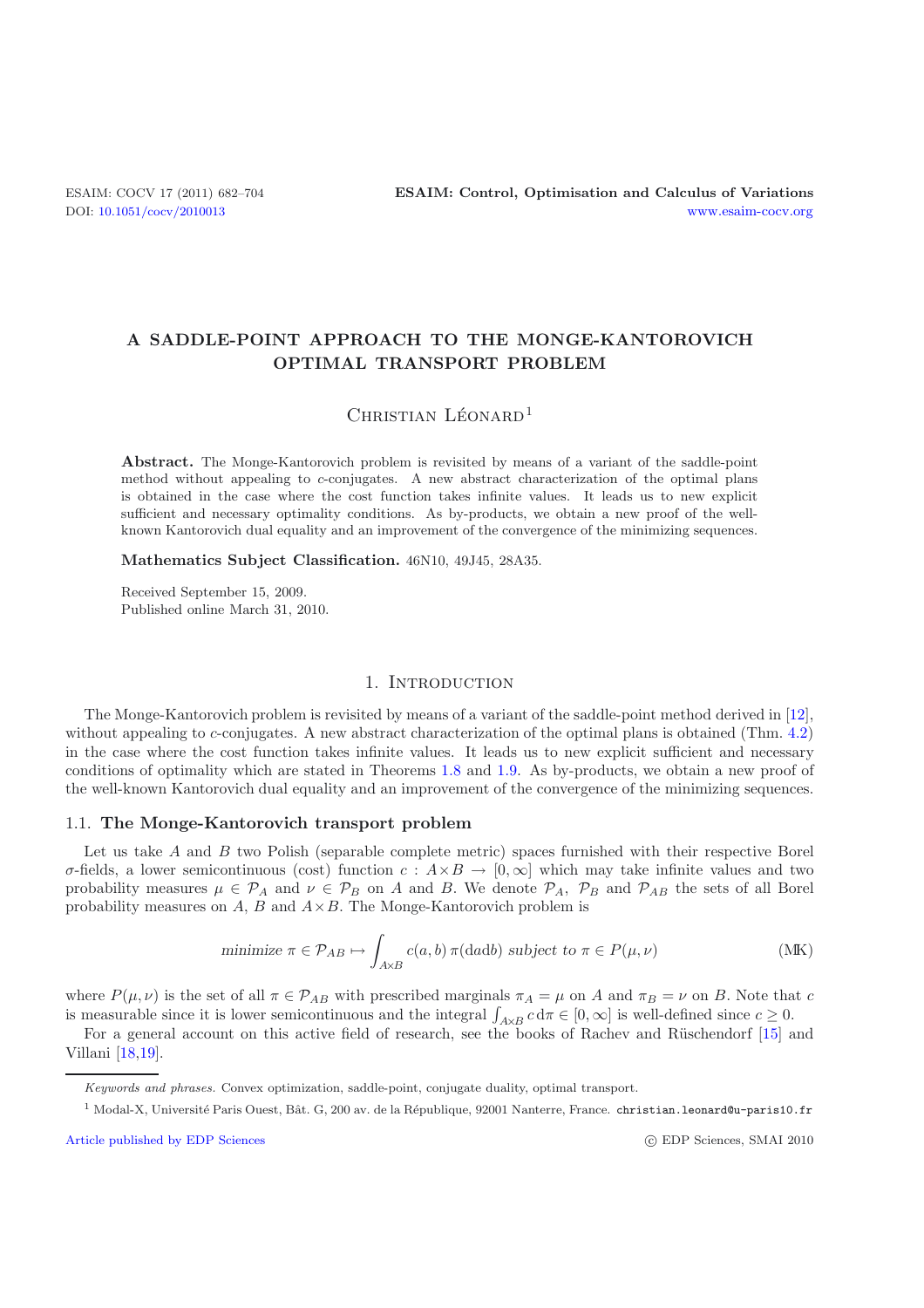## **A SADDLE-POINT APPROACH TO THE MONGE-KANTOROVICH OPTIMAL TRANSPORT PROBLEM**

# CHRISTIAN LÉONARD<sup>1</sup>

**Abstract.** The Monge-Kantorovich problem is revisited by means of a variant of the saddle-point method without appealing to *c*-conjugates. A new abstract characterization of the optimal plans is obtained in the case where the cost function takes infinite values. It leads us to new explicit sufficient and necessary optimality conditions. As by-products, we obtain a new proof of the wellknown Kantorovich dual equality and an improvement of the convergence of the minimizing sequences.

**Mathematics Subject Classification.** 46N10, 49J45, 28A35.

Received September 15, 2009. Published online March 31, 2010.

## 1. INTRODUCTION

The Monge-Kantorovich problem is revisited by means of a variant of the saddle-point method derived in [\[12\]](#page-22-0), without appealing to c-conjugates. A new abstract characterization of the optimal plans is obtained (Thm. [4.2\)](#page-1-0) in the case where the cost function takes infinite values. It leads us to new explicit sufficient and necessary conditions of optimality which are stated in Theorems [1.8](#page-4-0) and [1.9.](#page-4-1) As by-products, we obtain a new proof of the well-known Kantorovich dual equality and an improvement of the convergence of the minimizing sequences.

#### 1.1. **The Monge-Kantorovich transport problem**

Let us take A and B two Polish (separable complete metric) spaces furnished with their respective Borel σ-fields, a lower semicontinuous (cost) function c : A×B → [0, ∞] which may take infinite values and two probability measures  $\mu \in \mathcal{P}_A$  and  $\nu \in \mathcal{P}_B$  on A and B. We denote  $\mathcal{P}_A$ ,  $\mathcal{P}_B$  and  $\mathcal{P}_{AB}$  the sets of all Borel probability measures on  $A, B$  and  $A \times B$ . The Monge-Kantorovich problem is

minimize 
$$
\pi \in \mathcal{P}_{AB} \mapsto \int_{A \times B} c(a, b) \, \pi(\text{d} \text{ad} b)
$$
 subject to  $\pi \in P(\mu, \nu)$  (MK)

<span id="page-0-1"></span>where  $P(\mu, \nu)$  is the set of all  $\pi \in \mathcal{P}_{AB}$  with prescribed marginals  $\pi_A = \mu$  on A and  $\pi_B = \nu$  on B. Note that c is measurable since it is lower semicontinuous and the integral  $\int_{A\times B} c d\pi \in [0,\infty]$  is well-defined since  $c \ge 0$ .<br>For a general account on this active field of research, see the books of Bachev and Büschenderf [15] a

For a general account on this active field of research, see the books of Rachev and Rüschendorf [\[15\]](#page-22-1) and Villani [\[18](#page-22-2)[,19\]](#page-22-3).

[Article published by EDP Sciences](http://www.edpsciences.org)

<span id="page-0-0"></span>c EDP Sciences, SMAI 2010

Keywords and phrases. Convex optimization, saddle-point, conjugate duality, optimal transport.

<sup>&</sup>lt;sup>1</sup> Modal-X, Université Paris Ouest, Bât. G, 200 av. de la République, 92001 Nanterre, France. christian.leonard@u-paris10.fr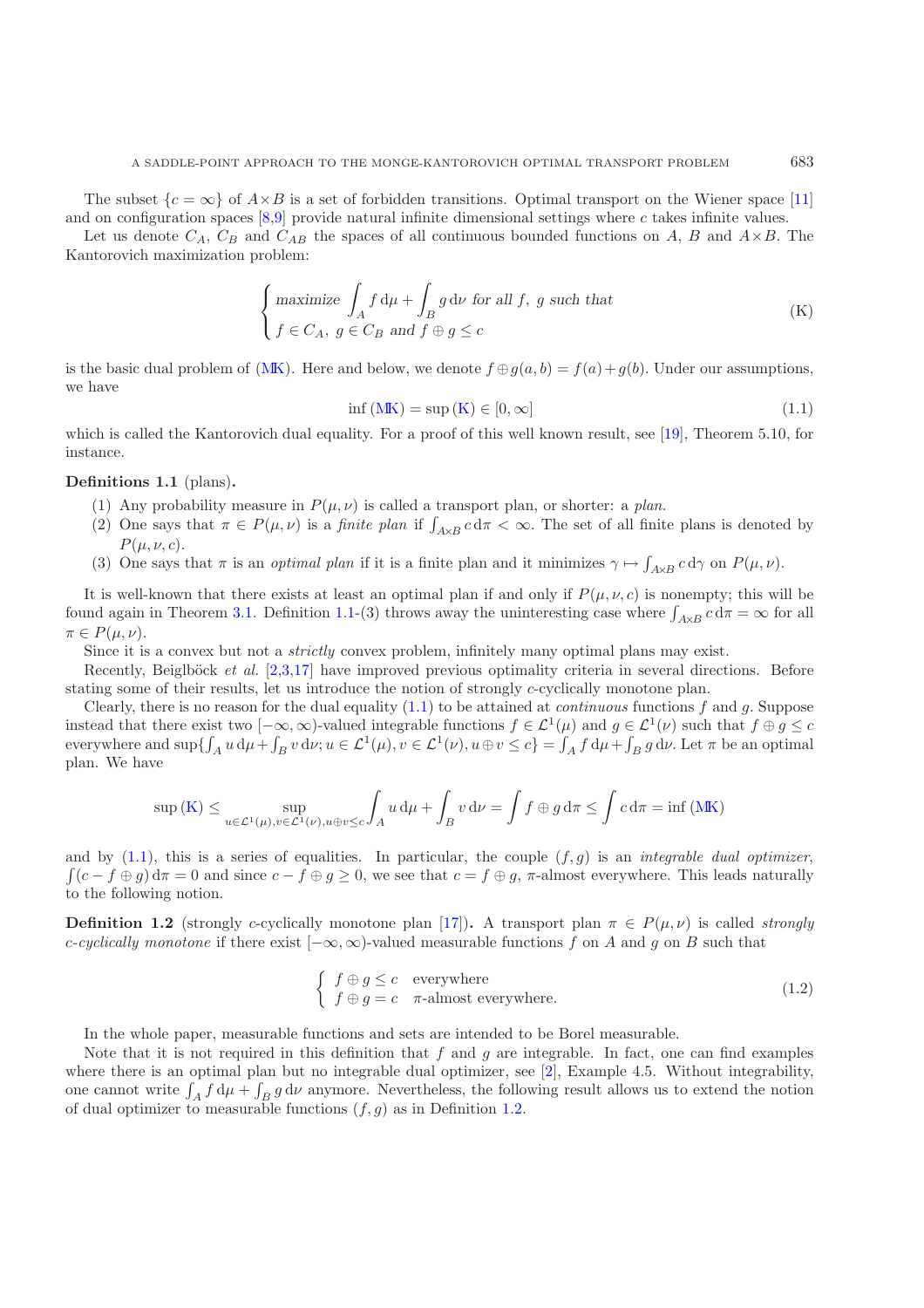Let us denote  $C_A$ ,  $C_B$  and  $C_{AB}$  the spaces of all continuous bounded functions on A, B and  $A \times B$ . The Kantorovich maximization problem:

$$
\begin{cases}\n\text{maximize } \int_A f \, \mathrm{d}\mu + \int_B g \, \mathrm{d}\nu \text{ for all } f, \ g \text{ such that} \\
f \in C_A, \ g \in C_B \text{ and } f \oplus g \le c\n\end{cases} \tag{K}
$$

is the basic dual problem of [\(MK\)](#page-0-0). Here and below, we denote  $f \oplus g(a, b) = f(a) + g(b)$ . Under our assumptions, we have

<span id="page-1-1"></span>
$$
\inf\left(\mathbf{MK}\right) = \sup\left(\mathbf{K}\right) \in [0, \infty] \tag{1.1}
$$

<span id="page-1-2"></span>which is called the Kantorovich dual equality. For a proof of this well known result, see [\[19\]](#page-22-3), Theorem 5.10, for instance.

## **Definitions 1.1** (plans)**.**

- (1) Any probability measure in  $P(\mu, \nu)$  is called a transport plan, or shorter: a *plan*.
- (2) One says that  $\pi \in P(\mu, \nu)$  is a *finite plan* if  $\int_{A \times B} c d\pi < \infty$ . The set of all finite plans is denoted by  $P(\mu, \nu, c)$ .
- (3) One says that  $\pi$  is an *optimal plan* if it is a finite plan and it minimizes  $\gamma \mapsto \int_{A \times B} c \, d\gamma$  on  $P(\mu, \nu)$ .

It is well-known that there exists at least an optimal plan if and only if  $P(\mu, \nu, c)$  is nonempty; this will be found again in Theorem [3.1.](#page-1-2) Definition [1.1-](#page-1-2)(3) throws away the uninteresting case where  $\int_{A\times B} c d\pi = \infty$  for all  $\pi \in P(u, u)$  $\pi \in P(u, \nu)$ .

Since it is a convex but not a *strictly* convex problem, infinitely many optimal plans may exist.

Recently, Beiglböck *et al.* [\[2](#page-22-7)[,3](#page-22-8)[,17](#page-22-9)] have improved previous optimality criteria in several directions. Before stating some of their results, let us introduce the notion of strongly c-cyclically monotone plan.

Clearly, there is no reason for the dual equality [\(1.1\)](#page-0-1) to be attained at *continuous* functions f and g. Suppose instead that there exist two  $[-\infty,\infty)$ -valued integrable functions  $f \in \mathcal{L}^1(\mu)$  and  $g \in \mathcal{L}^1(\nu)$  such that  $f \oplus g \leq c$ everywhere and  $\sup\{\int_A u d\mu + \int_B v d\nu; u \in \mathcal{L}^1(\mu), v \in \mathcal{L}^1(\nu), u \oplus v \leq c\} = \int_A f d\mu + \int_B g d\nu$ . Let  $\pi$  be an optimal plan. We have plan. We have

$$
\sup\left(\mathbf{K}\right) \leq \sup_{u \in \mathcal{L}^1(\mu), v \in \mathcal{L}^1(\nu), u \oplus v \leq c} \int_A u \, \mathrm{d}\mu + \int_B v \, \mathrm{d}\nu = \int f \oplus g \, \mathrm{d}\pi \leq \int c \, \mathrm{d}\pi = \inf\left(\mathbf{M}\mathbf{K}\right)
$$

and by  $(1.1)$ , this is a series of equalities. In particular, the couple  $(f,g)$  is an *integrable dual optimizer*,  $(c - f \oplus g) d\pi = 0$  and since  $c - f \oplus g \ge 0$ , we see that  $c = f \oplus g$ ,  $\pi$ -almost everywhere. This leads naturally to the following notion.

<span id="page-1-0"></span>**Definition 1.2** (strongly c-cyclically monotone plan [\[17\]](#page-22-9))**.** A transport plan  $\pi \in P(\mu, \nu)$  is called *strongly* c*-cyclically monotone* if there exist [−∞, ∞)-valued measurable functions f on A and g on B such that

<span id="page-1-4"></span>
$$
\begin{cases}\nf \oplus g \leq c & \text{everywhere} \\
f \oplus g = c & \pi\text{-almost everywhere.} \n\end{cases}
$$
\n(1.2)

In the whole paper, measurable functions and sets are intended to be Borel measurable.

<span id="page-1-3"></span>Note that it is not required in this definition that f and g are integrable. In fact, one can find examples where there is an optimal plan but no integrable dual optimizer, see [\[2](#page-22-7)], Example 4.5. Without integrability, one cannot write  $\int_A f d\mu + \int_B g d\nu$  anymore. Nevertheless, the following result allows us to extend the notion of dual optimizer to measurable functions (f a) as in Definition 1.2 of dual optimizer to measurable functions  $(f,g)$  as in Definition [1.2.](#page-1-0)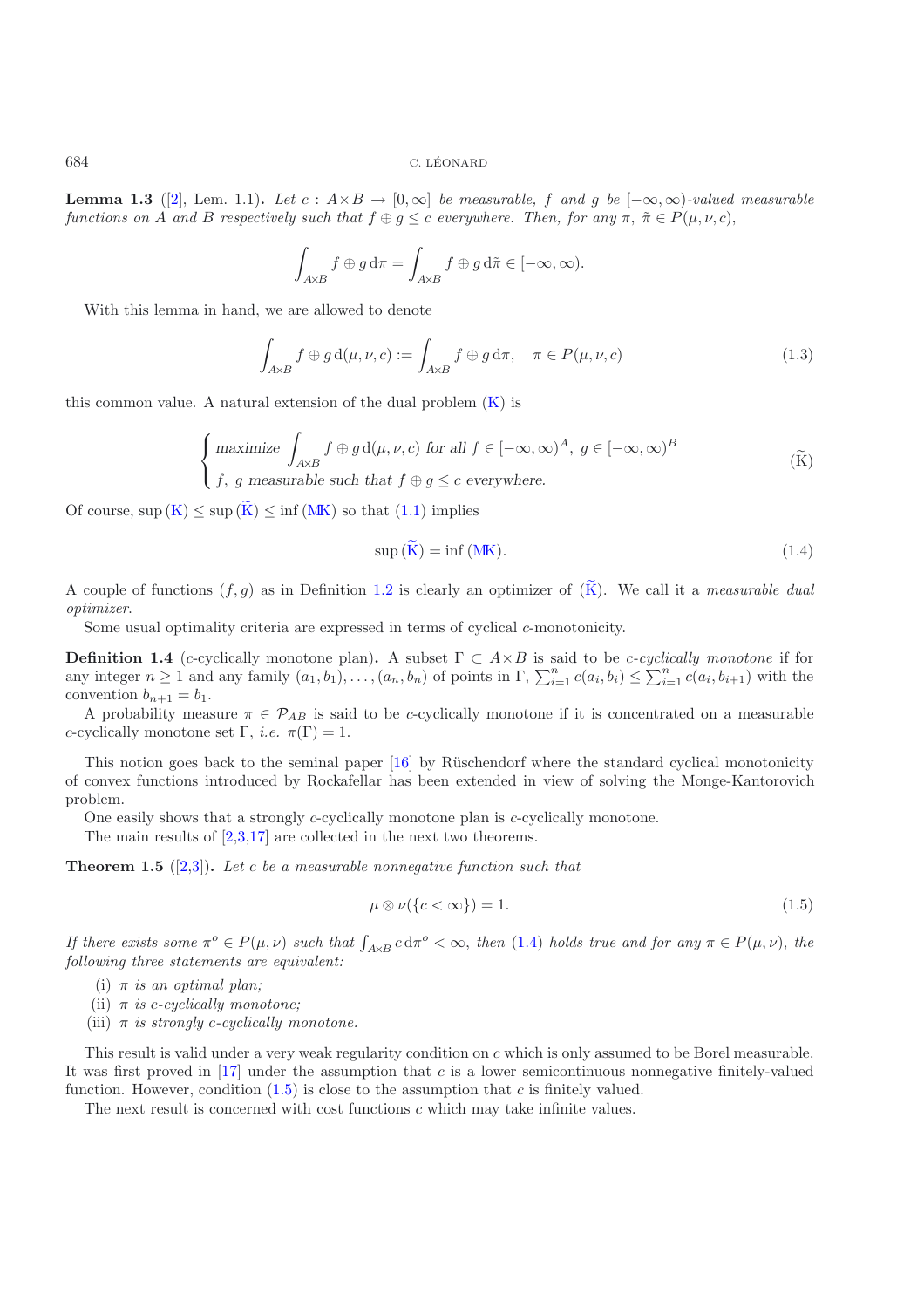**Lemma 1.3** ([\[2\]](#page-22-7), Lem. 1.1)**.** *Let* c :  $A \times B$  → [0, ∞] *be measurable,* f and g *be* [−∞, ∞)*-valued measurable functions on* A *and* B *respectively such that*  $f \oplus g \leq c$  *everywhere. Then, for any*  $\pi$ ,  $\tilde{\pi} \in P(\mu, \nu, c)$ ,

$$
\int_{A\times B} f \oplus g d\pi = \int_{A\times B} f \oplus g d\tilde{\pi} \in [-\infty, \infty).
$$

With this lemma in hand, we are allowed to denote

$$
\int_{A\times B} f \oplus g d(\mu, \nu, c) := \int_{A\times B} f \oplus g d\pi, \quad \pi \in P(\mu, \nu, c)
$$
\n(1.3)

this common value. A natural extension of the dual problem  $(K)$  is

$$
\begin{cases}\n\text{maximize } \int_{A \times B} f \oplus g \, d(\mu, \nu, c) \text{ for all } f \in [-\infty, \infty)^A, \ g \in [-\infty, \infty)^B \\
f, \ g \text{ measurable such that } f \oplus g \le c \text{ everywhere.} \n\end{cases} \tag{K}
$$

<span id="page-2-1"></span>Of course,  $\sup(K) \leq \sup(\widetilde{K}) \leq \inf(MK)$  $\sup(K) \leq \sup(\widetilde{K}) \leq \inf(MK)$  $\sup(K) \leq \sup(\widetilde{K}) \leq \inf(MK)$  $\sup(K) \leq \sup(\widetilde{K}) \leq \inf(MK)$  so that  $(1.1)$  implies

<span id="page-2-0"></span>
$$
sup (K) = inf (MK).
$$
\n(1.4)

A couple of functions  $(f,g)$  as in Definition [1.2](#page-1-0) is clearly an optimizer of  $(\widetilde{K})$ . We call it a *measurable dual optimizer*.

Some usual optimality criteria are expressed in terms of cyclical c-monotonicity.

<span id="page-2-4"></span>**Definition 1.4** (c-cyclically monotone plan). A subset  $\Gamma \subset A \times B$  is said to be c-cyclically monotone if for any integer  $n \ge 1$  and any family  $(a_1, b_1), \ldots, (a_n, b_n)$  of points in  $\Gamma$ ,  $\sum_{i=1}^n c(a_i, b_i) \le \sum_{i=1}^n c(a_i, b_{i+1})$  with the convention  $b_{i+1} = b_i$ . convention  $b_{n+1} = b_1$ .

A probability measure  $\pi \in \mathcal{P}_{AB}$  is said to be c-cyclically monotone if it is concentrated on a measurable c-cyclically monotone set  $\Gamma$ , *i.e.*  $\pi(\Gamma) = 1$ .

This notion goes back to the seminal paper  $[16]$  by Rüschendorf where the standard cyclical monotonicity of convex functions introduced by Rockafellar has been extended in view of solving the Monge-Kantorovich problem.

One easily shows that a strongly c-cyclically monotone plan is c-cyclically monotone.

The main results of [\[2](#page-22-7)[,3](#page-22-8)[,17\]](#page-22-9) are collected in the next two theorems.

<span id="page-2-3"></span>**Theorem 1.5** ([\[2](#page-22-7)[,3\]](#page-22-8))**.** *Let* c *be a measurable nonnegative function such that*

<span id="page-2-2"></span>
$$
\mu \otimes \nu(\{c < \infty\}) = 1. \tag{1.5}
$$

*If there exists some*  $\pi^o \in P(\mu, \nu)$  *such that*  $\int_{A \times B} c d\pi^o < \infty$ , *then* [\(1.4\)](#page-2-1) *holds true and for any*  $\pi \in P(\mu, \nu)$ , *the following three statements are equivalent: following three statements are equivalent:*

- (i) π *is an optimal plan;*
- (ii)  $\pi$  *is c-cyclically monotone;*
- (iii)  $\pi$  *is strongly c-cyclically monotone.*

This result is valid under a very weak regularity condition on c which is only assumed to be Borel measurable. It was first proved in  $[17]$  under the assumption that c is a lower semicontinuous nonnegative finitely-valued function. However, condition  $(1.5)$  is close to the assumption that c is finitely valued.

The next result is concerned with cost functions c which may take infinite values.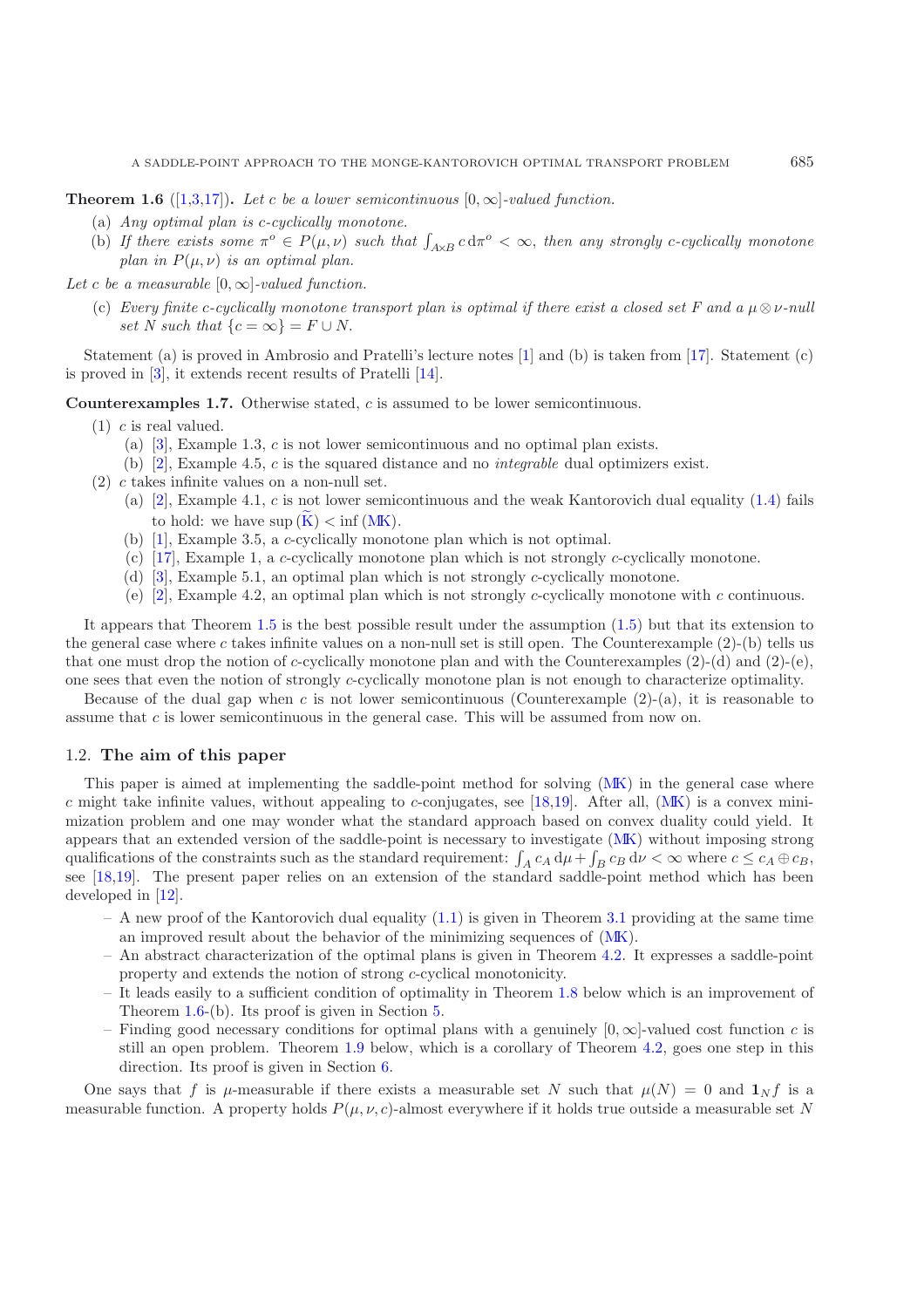<span id="page-3-0"></span>**Theorem 1.6** ([\[1](#page-22-11)[,3](#page-22-8)[,17](#page-22-9)]). Let c be a lower semicontinuous  $[0, \infty]$ -valued function.

- (a) *Any optimal plan is* c*-cyclically monotone.*
- (b) If there exists some  $\pi^o \in P(\mu, \nu)$  such that  $\int_{A \times B} c d\pi^o < \infty$ , then any strongly c-cyclically monotone *plan in*  $P(\mu, \nu)$  *is an optimal plan.*

*Let* c *be a measurable*  $[0, \infty]$ *-valued function.* 

(c) *Every finite* c-cyclically monotone transport plan is optimal if there exist a closed set F and a  $\mu \otimes \nu$ -null *set N* such that  $\{c = \infty\} = F \cup N$ .

<span id="page-3-1"></span>Statement (a) is proved in Ambrosio and Pratelli's lecture notes [\[1](#page-22-11)] and (b) is taken from [\[17\]](#page-22-9). Statement (c) is proved in [\[3\]](#page-22-8), it extends recent results of Pratelli [\[14](#page-22-12)].

**Counterexamples 1.7.** Otherwise stated, c is assumed to be lower semicontinuous.

- (1) c is real valued.
	- (a) [\[3\]](#page-22-8), Example 1.3, c is not lower semicontinuous and no optimal plan exists.
	- (b) [\[2\]](#page-22-7), Example 4.5, c is the squared distance and no *integrable* dual optimizers exist.
- (2) c takes infinite values on a non-null set.
	- (a)  $[2]$ , Example 4.1, c is not lower semicontinuous and the weak Kantorovich dual equality [\(1.4\)](#page-2-1) fails to hold: we have  $\sup(K) < \inf(MK)$  $\sup(K) < \inf(MK)$  $\sup(K) < \inf(MK)$  $\sup(K) < \inf(MK)$ .
	- (b) [\[1\]](#page-22-11), Example 3.5, a c-cyclically monotone plan which is not optimal.
	- (c) [\[17\]](#page-22-9), Example 1, a c-cyclically monotone plan which is not strongly c-cyclically monotone.
	- (d) [\[3\]](#page-22-8), Example 5.1, an optimal plan which is not strongly c-cyclically monotone.
	- (e) [\[2\]](#page-22-7), Example 4.2, an optimal plan which is not strongly c-cyclically monotone with c continuous.

It appears that Theorem [1.5](#page-2-3) is the best possible result under the assumption [\(1.5\)](#page-2-2) but that its extension to the general case where c takes infinite values on a non-null set is still open. The Counterexample  $(2)$ -(b) tells us that one must drop the notion of c-cyclically monotone plan and with the Counterexamples  $(2)-(d)$  and  $(2)-(e)$ , one sees that even the notion of strongly c-cyclically monotone plan is not enough to characterize optimality.

Because of the dual gap when c is not lower semicontinuous (Counterexample  $(2)$ -(a), it is reasonable to assume that c is lower semicontinuous in the general case. This will be assumed from now on.

## 1.2. **The aim of this paper**

This paper is aimed at implementing the saddle-point method for solving [\(MK\)](#page-0-0) in the general case where c might take infinite values, without appealing to c-conjugates, see [\[18](#page-22-2)[,19\]](#page-22-3). After all,  $(MK)$  is a convex minimization problem and one may wonder what the standard approach based on convex duality could yield. It appears that an extended version of the saddle-point is necessary to investigate [\(MK\)](#page-0-0) without imposing strong qualifications of the constraints such as the standard requirement:  $\int_A c_A d\mu + \int_B c_B d\nu < \infty$  where  $c \leq c_A \oplus c_B$ , see [\[18](#page-22-2)[,19\]](#page-22-3). The present paper relies on an extension of the standard saddle-point method which has been developed in [\[12\]](#page-22-0).

- $A$  new proof of the Kantorovich dual equality  $(1.1)$  is given in Theorem [3.1](#page-1-2) providing at the same time an improved result about the behavior of the minimizing sequences of [\(MK\)](#page-0-0).
- An abstract characterization of the optimal plans is given in Theorem [4.2.](#page-1-0) It expresses a saddle-point property and extends the notion of strong c-cyclical monotonicity.
- It leads easily to a sufficient condition of optimality in Theorem [1.8](#page-4-0) below which is an improvement of Theorem [1.6-](#page-3-0)(b). Its proof is given in Section [5.](#page-15-0)
- Finding good necessary conditions for optimal plans with a genuinely  $[0, \infty]$ -valued cost function c is still an open problem. Theorem [1.9](#page-4-1) below, which is a corollary of Theorem [4.2,](#page-1-0) goes one step in this direction. Its proof is given in Section [6.](#page-18-0)

One says that f is  $\mu$ -measurable if there exists a measurable set N such that  $\mu(N) = 0$  and  $\mathbf{1}_N f$  is a measurable function. A property holds  $P(\mu, \nu, c)$ -almost everywhere if it holds true outside a measurable set N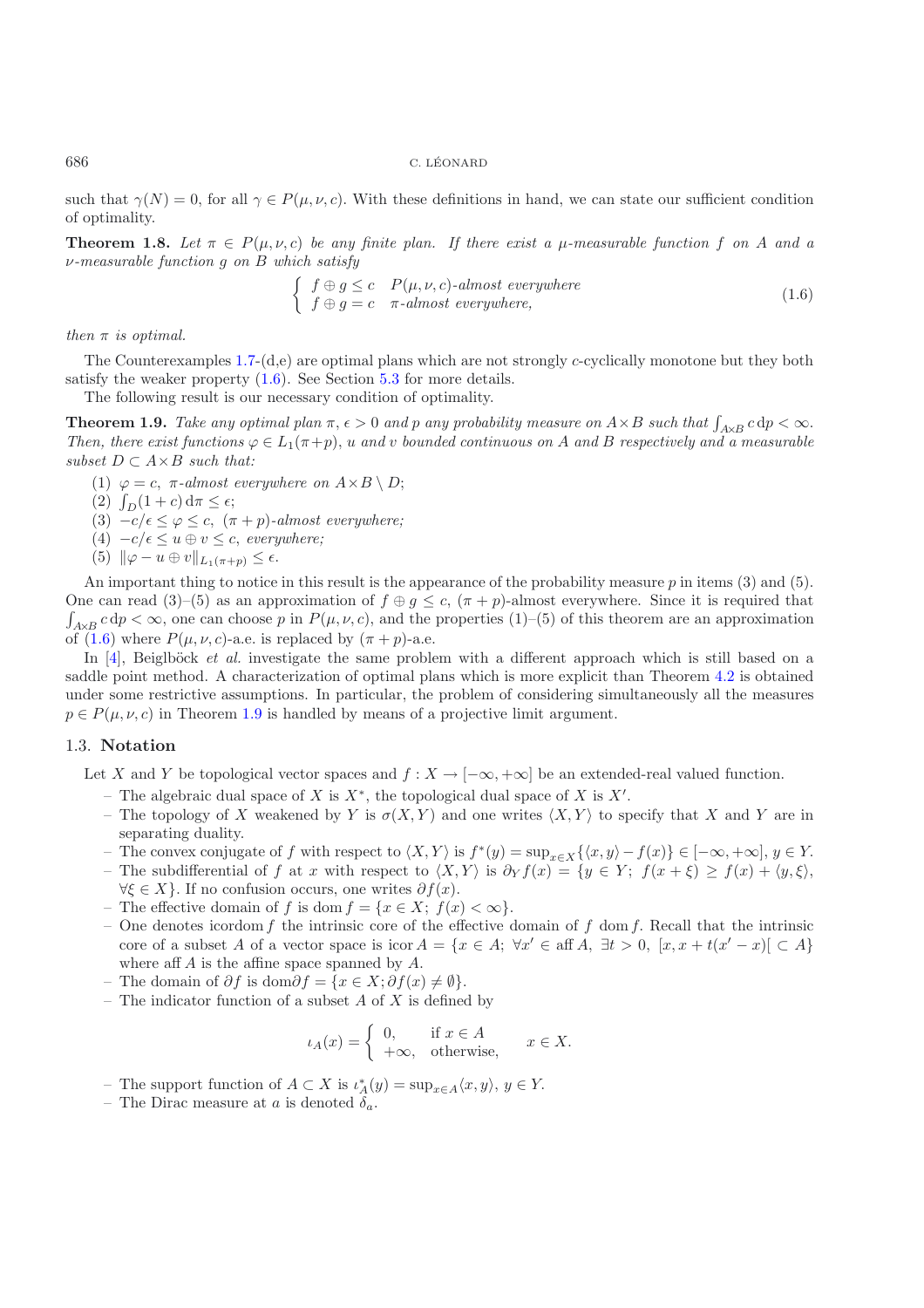<span id="page-4-0"></span>such that  $\gamma(N)=0$ , for all  $\gamma \in P(\mu, \nu, c)$ . With these definitions in hand, we can state our sufficient condition of optimality.

**Theorem 1.8.** Let  $\pi \in P(\mu, \nu, c)$  be any finite plan. If there exist a  $\mu$ -measurable function f on A and a ν*-measurable function* g *on* B *which satisfy*

<span id="page-4-2"></span>
$$
\begin{cases}\nf \oplus g \le c \quad P(\mu, \nu, c)\text{-almost everywhere} \\
f \oplus g = c \quad \pi\text{-almost everywhere,} \n\end{cases} \tag{1.6}
$$

*then*  $\pi$  *is optimal.* 

The Counterexamples  $1.7-(d,e)$  $1.7-(d,e)$  are optimal plans which are not strongly c-cyclically monotone but they both satisfy the weaker property  $(1.6)$ . See Section [5.3](#page-17-0) for more details.

The following result is our necessary condition of optimality.

<span id="page-4-1"></span>**Theorem 1.9.** *Take any optimal plan*  $\pi$ ,  $\epsilon > 0$  *and* p *any probability measure on*  $A \times B$  *such that*  $\int_{A \times B} c \, dp < \infty$ .<br>Then there exist functions  $\alpha \in L_{\epsilon}(\pi + n)$  *u and y bounded continuous on* A and B respect *Then, there exist functions*  $\varphi \in L_1(\pi + p)$ , *u and v bounded continuous on* A *and* B *respectively and a measurable subset*  $D \subset A \times B$  *such that:* 

- (1)  $\varphi = c$ ,  $\pi$ -almost everywhere on  $A \times B \setminus D$ ;
- (2)  $\int_D (1+c) d\pi \leq \epsilon;$ <br>(3)  $-c/\epsilon \leq \mu \leq c$
- (3)  $-c/\epsilon \leq \varphi \leq c$ ,  $(\pi + p)$ -almost everywhere;
- $(4)$   $-c/ε ≤ u ⊕ v ≤ c$ , *everywhere*;
- (5)  $\|\varphi u \oplus v\|_{L_1(\pi+p)} \leq \epsilon.$

An important thing to notice in this result is the appearance of the probability measure  $p$  in items (3) and (5). One can read (3)–(5) as an approximation of  $f \oplus g \leq c$ ,  $(\pi + p)$ -almost everywhere. Since it is required that  $\int_{A\times B} c \, dp < \infty$ , one can choose p in  $P(\mu, \nu, c)$ , and the properties (1)–(5) of this theorem are an approximation of (1.6) where  $P(\mu, \nu, c)$ -3.9 is replaced by  $(\pi + n)$ -3.9 of [\(1.6\)](#page-4-2) where  $P(\mu, \nu, c)$ -a.e. is replaced by  $(\pi + p)$ -a.e.

In [\[4](#page-22-13)], Beiglböck *et al.* investigate the same problem with a different approach which is still based on a saddle point method. A characterization of optimal plans which is more explicit than Theorem [4.2](#page-1-0) is obtained under some restrictive assumptions. In particular, the problem of considering simultaneously all the measures  $p \in P(\mu, \nu, c)$  in Theorem [1.9](#page-4-1) is handled by means of a projective limit argument.

## 1.3. **Notation**

Let X and Y be topological vector spaces and  $f : X \to [-\infty, +\infty]$  be an extended-real valued function.

- The algebraic dual space of X is  $X^*$ , the topological dual space of X is  $X'$ .
- The topology of X weakened by Y is  $\sigma(X, Y)$  and one writes  $\langle X, Y \rangle$  to specify that X and Y are in separating duality.
- The convex conjugate of f with respect to  $\langle X, Y \rangle$  is  $f^*(y) = \sup_{x \in X} {\{\langle x, y \rangle f(x)\}} \in [-\infty, +\infty], y \in Y$ .
- The subdifferential of f at x with respect to  $\langle X, Y \rangle$  is  $\partial_Y f(x) = \{y \in Y; f(x + \xi) \ge f(x) + \langle y, \xi \rangle,$  $\forall \xi \in X$ . If no confusion occurs, one writes  $\partial f(x)$ .
- The effective domain of f is dom  $f = \{x \in X; f(x) < \infty\}.$
- One denotes icordom f the intrinsic core of the effective domain of f dom f. Recall that the intrinsic core of a subset A of a vector space is icor  $A = \{x \in A; \forall x' \in \text{aff } A, \exists t > 0, [x, x + t(x' - x)] \subset A\}$ where aff A is the affine space spanned by A.
- The domain of ∂f is dom∂f = {x ∈ X; ∂f(x)  $\neq$  Ø}.
- The indicator function of a subset  $A$  of  $X$  is defined by

$$
\iota_A(x) = \begin{cases} 0, & \text{if } x \in A \\ +\infty, & \text{otherwise,} \end{cases} \quad x \in X.
$$

- The support function of  $A \subset X$  is  $\iota_A^*(y) = \sup_{x \in A} \langle x, y \rangle, y \in Y$ .<br>
 The Dirac measure at *a* is denoted δ
- The Dirac measure at a is denoted  $\delta_a$ .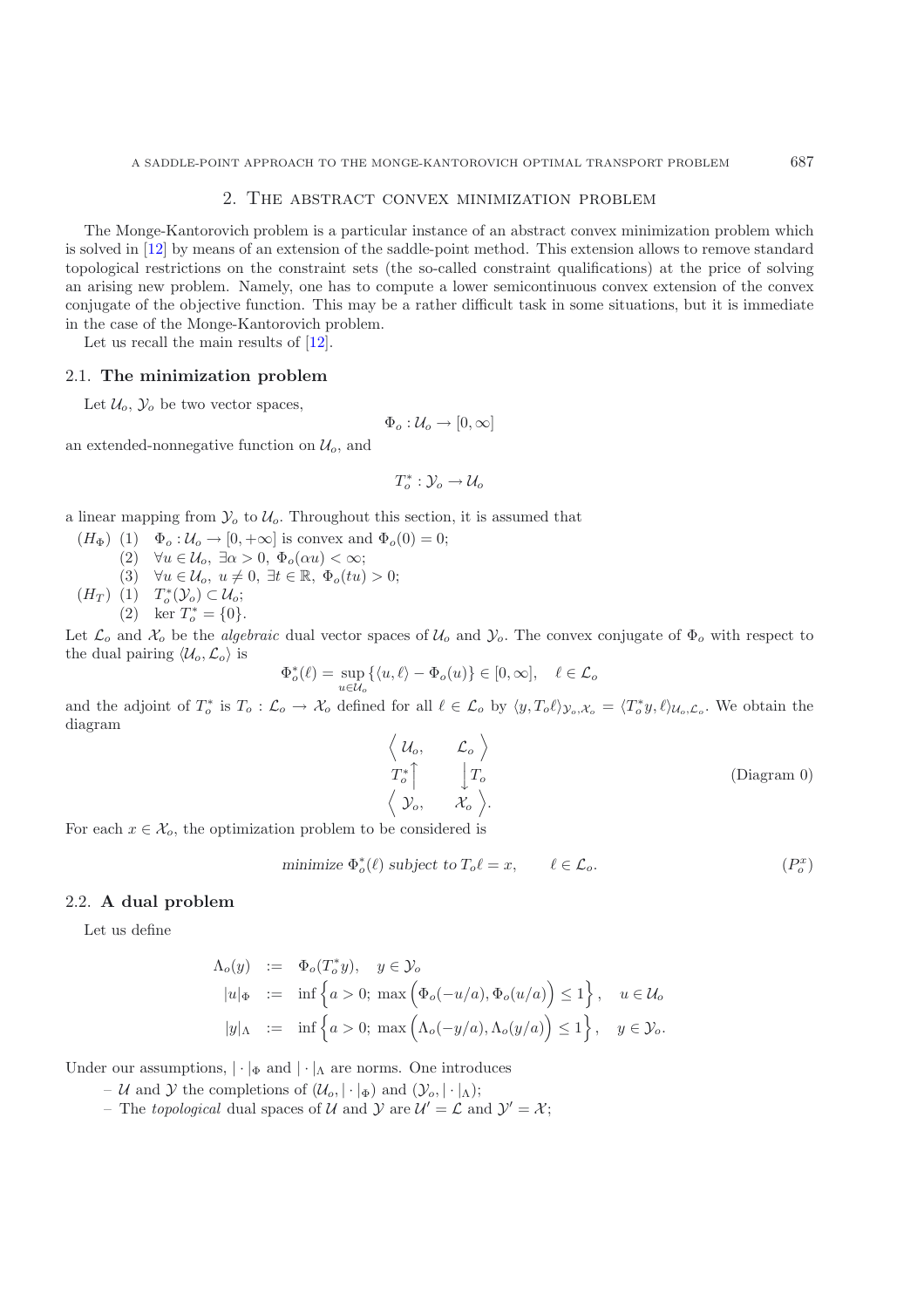## 2. The abstract convex minimization problem

<span id="page-5-0"></span>The Monge-Kantorovich problem is a particular instance of an abstract convex minimization problem which is solved in [\[12\]](#page-22-0) by means of an extension of the saddle-point method. This extension allows to remove standard topological restrictions on the constraint sets (the so-called constraint qualifications) at the price of solving an arising new problem. Namely, one has to compute a lower semicontinuous convex extension of the convex conjugate of the objective function. This may be a rather difficult task in some situations, but it is immediate in the case of the Monge-Kantorovich problem.

Let us recall the main results of  $[12]$  $[12]$ .

## 2.1. **The minimization problem**

Let  $\mathcal{U}_o$ ,  $\mathcal{Y}_o$  be two vector spaces,

$$
\Phi_o: \mathcal{U}_o \to [0, \infty]
$$

an extended-nonnegative function on  $\mathcal{U}_o$ , and

$$
T_o^*: \mathcal{Y}_o \to \mathcal{U}_o
$$

a linear mapping from  $\mathcal{Y}_o$  to  $\mathcal{U}_o$ . Throughout this section, it is assumed that

 $(H_{\Phi})$  (1)  $\Phi_o: \mathcal{U}_o \to [0, +\infty]$  is convex and  $\Phi_o(0) = 0$ ; (2)  $\forall u \in \mathcal{U}_o, \exists \alpha > 0, \Phi_o(\alpha u) < \infty;$ (3)  $\forall u \in \mathcal{U}_o, u \neq 0, \exists t \in \mathbb{R}, \Phi_o(tu) > 0;$ 

( $H_T$ ) (1)  $T_o^*(\mathcal{Y}_o) \subset \mathcal{U}_o;$ <br>
(2) ker  $T_o^* = \{0\}.$ 

Let  $\mathcal{L}_o$  and  $\mathcal{X}_o$  be the *algebraic* dual vector spaces of  $\mathcal{U}_o$  and  $\mathcal{Y}_o$ . The convex conjugate of  $\Phi_o$  with respect to the dual pairing  $\langle \mathcal{U}_o, \mathcal{L}_o \rangle$  is

 $\Phi_{o}^{*}(\ell) = \sup_{u \in \mathcal{U}_{o}} \{ \langle u, \ell \rangle - \Phi_{o}(u) \} \in [0, \infty], \quad \ell \in \mathcal{L}_{o}$ 

and the adjoint of  $T_o^*$  is  $T_o: \mathcal{L}_o \to \mathcal{X}_o$  defined for all  $\ell \in \mathcal{L}_o$  by  $\langle y, T_o \ell \rangle_{\mathcal{Y}_o, \mathcal{X}_o} = \langle T_o^* y, \ell \rangle_{\mathcal{U}_o, \mathcal{L}_o}$ . We obtain the diagram

$$
\begin{array}{ccc}\n\left\langle u_o, & \mathcal{L}_o \right\rangle & & & \\
T_o^* & \downarrow T_o & & & \\
\left\langle \mathcal{Y}_o, & \mathcal{X}_o \right\rangle & & & \\
\end{array}
$$
\n(Diagram 0)

For each  $x \in \mathcal{X}_o$ , the optimization problem to be considered is

minimize 
$$
\Phi_o^*(\ell)
$$
 subject to  $T_o \ell = x$ ,  $\ell \in \mathcal{L}_o$ .  $(P_o^x)$ 

## 2.2. **A dual problem**

Let us define

$$
\Lambda_o(y) := \Phi_o(T_o^* y), \quad y \in \mathcal{Y}_o
$$
  
\n
$$
|u|_{\Phi} := \inf \left\{ a > 0; \max \left( \Phi_o(-u/a), \Phi_o(u/a) \right) \le 1 \right\}, \quad u \in \mathcal{U}_o
$$
  
\n
$$
|y|_{\Lambda} := \inf \left\{ a > 0; \max \left( \Lambda_o(-y/a), \Lambda_o(y/a) \right) \le 1 \right\}, \quad y \in \mathcal{Y}_o.
$$

Under our assumptions,  $|\cdot|_{\Phi}$  and  $|\cdot|_{\Lambda}$  are norms. One introduces

- U and Y the completions of  $(\mathcal{U}_o, |\cdot|_\Phi)$  and  $(\mathcal{Y}_o, |\cdot|_\Lambda)$ ;
- The *topological* dual spaces of U and  $\mathcal{Y}$  are  $\mathcal{U}' = \mathcal{L}$  and  $\mathcal{Y}' = \mathcal{X}$ ;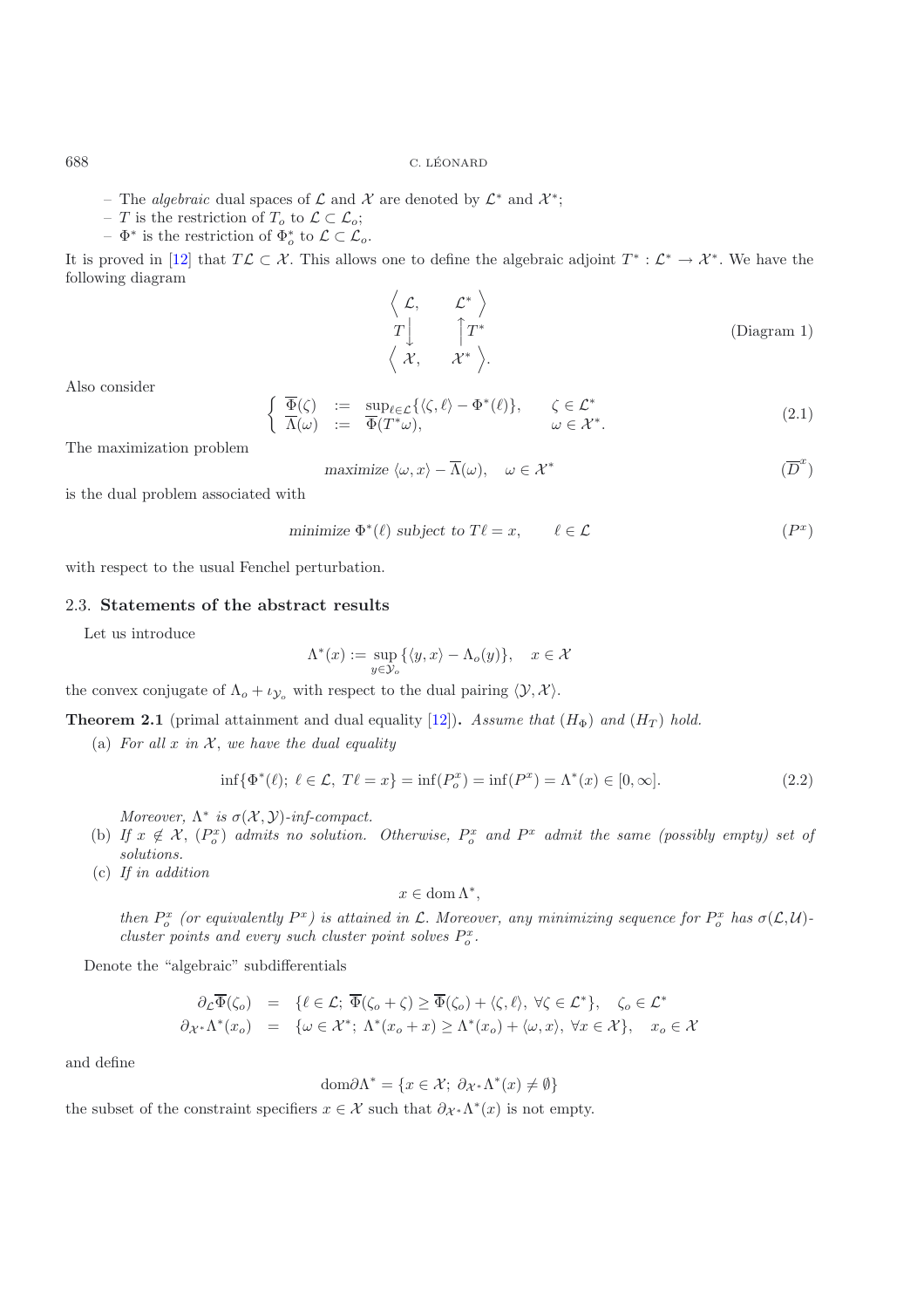- The *algebraic* dual spaces of  $\mathcal L$  and  $\mathcal X$  are denoted by  $\mathcal L^*$  and  $\mathcal X^*$ ;
- − T is the restriction of  $T_o$  to  $\mathcal{L} \subset \mathcal{L}_o$ ;
- $-\Phi^*$  is the restriction of  $\Phi_o^*$  to  $\mathcal{L} \subset \mathcal{L}_o$ .

It is proved in [\[12](#page-22-0)] that  $T\mathcal{L}\subset\mathcal{X}$ . This allows one to define the algebraic adjoint  $T^*:\mathcal{L}^*\to\mathcal{X}^*$ . We have the following diagram

$$
\begin{array}{ccc}\n\left\langle \mathcal{L}, & \mathcal{L}^* \right\rangle \\
T \downarrow & \uparrow T^* \\
\left\langle \mathcal{X}, & \mathcal{X}^* \right\rangle.\n\end{array} \n\tag{Diagram 1}
$$

Also consider

$$
\begin{cases}\n\overline{\Phi}(\zeta) &:= \sup_{\ell \in \mathcal{L}} \{ \langle \zeta, \ell \rangle - \Phi^*(\ell) \}, & \zeta \in \mathcal{L}^* \\
\overline{\Lambda}(\omega) &:= \overline{\Phi}(T^*\omega), & \omega \in \mathcal{X}^*.\n\end{cases}
$$
\n(2.1)

The maximization problem

$$
\text{maximize } \langle \omega, x \rangle - \overline{\Lambda}(\omega), \quad \omega \in \mathcal{X}^* \tag{D}^x
$$

is the dual problem associated with

minimize 
$$
\Phi^*(\ell)
$$
 subject to  $T\ell = x$ ,  $\ell \in \mathcal{L}$   $(P^x)$ 

with respect to the usual Fenchel perturbation.

## 2.3. **Statements of the abstract results**

Let us introduce

$$
\Lambda^*(x) := \sup_{y \in \mathcal{Y}_o} \{ \langle y, x \rangle - \Lambda_o(y) \}, \quad x \in \mathcal{X}
$$

the convex conjugate of  $\Lambda_o + \iota_{\mathcal{Y}_o}$  with respect to the dual pairing  $\langle \mathcal{Y}, \mathcal{X} \rangle$ .

**Theorem 2.1** (primal attainment and dual equality [\[12\]](#page-22-0)). *Assume that*  $(H_{\Phi})$  *and*  $(H_T)$  *hold.* 

(a) For all  $x$  *in*  $\mathcal{X}$ *, we have the dual equality* 

$$
\inf \{ \Phi^*(\ell); \ \ell \in \mathcal{L}, \ T\ell = x \} = \inf (P_o^x) = \inf (P^x) = \Lambda^*(x) \in [0, \infty]. \tag{2.2}
$$

<span id="page-6-0"></span>*Moreover,*  $\Lambda^*$  *is*  $\sigma(\mathcal{X}, \mathcal{Y})$ *-inf-compact.* 

- (b) If  $x \notin \mathcal{X}$ ,  $(P_o^x)$  admits no solution. Otherwise,  $P_o^x$  and  $P^x$  admit the same (possibly empty) set of *solutions.*
- (c) *If in addition*

$$
x\in\operatorname{dom}\Lambda^*,
$$

*then*  $P_o^x$  (or equivalently  $P^x$ ) is attained in  $\mathcal{L}$ . Moreover, any minimizing sequence for  $P_o^x$  has  $\sigma(\mathcal{L}, \mathcal{U})$ -<br>cluster points and every such cluster point solves  $P^x$ *cluster points and every such cluster point solves*  $P_o^x$ .

Denote the "algebraic" subdifferentials

$$
\partial_{\mathcal{L}} \overline{\Phi}(\zeta_o) = \{ \ell \in \mathcal{L}; \ \overline{\Phi}(\zeta_o + \zeta) \ge \overline{\Phi}(\zeta_o) + \langle \zeta, \ell \rangle, \ \forall \zeta \in \mathcal{L}^* \}, \quad \zeta_o \in \mathcal{L}^* \n\partial_{\mathcal{X}^*} \Lambda^*(x_o) = \{ \omega \in \mathcal{X}^*; \ \Lambda^*(x_o + x) \ge \Lambda^*(x_o) + \langle \omega, x \rangle, \ \forall x \in \mathcal{X} \}, \quad x_o \in \mathcal{X}
$$

and define

$$
\text{dom}\partial\Lambda^* = \{x \in \mathcal{X}; \ \partial_{\mathcal{X}^*}\Lambda^*(x) \neq \emptyset\}
$$

the subset of the constraint specifiers  $x \in \mathcal{X}$  such that  $\partial_{\mathcal{X}^*} \Lambda^*(x)$  is not empty.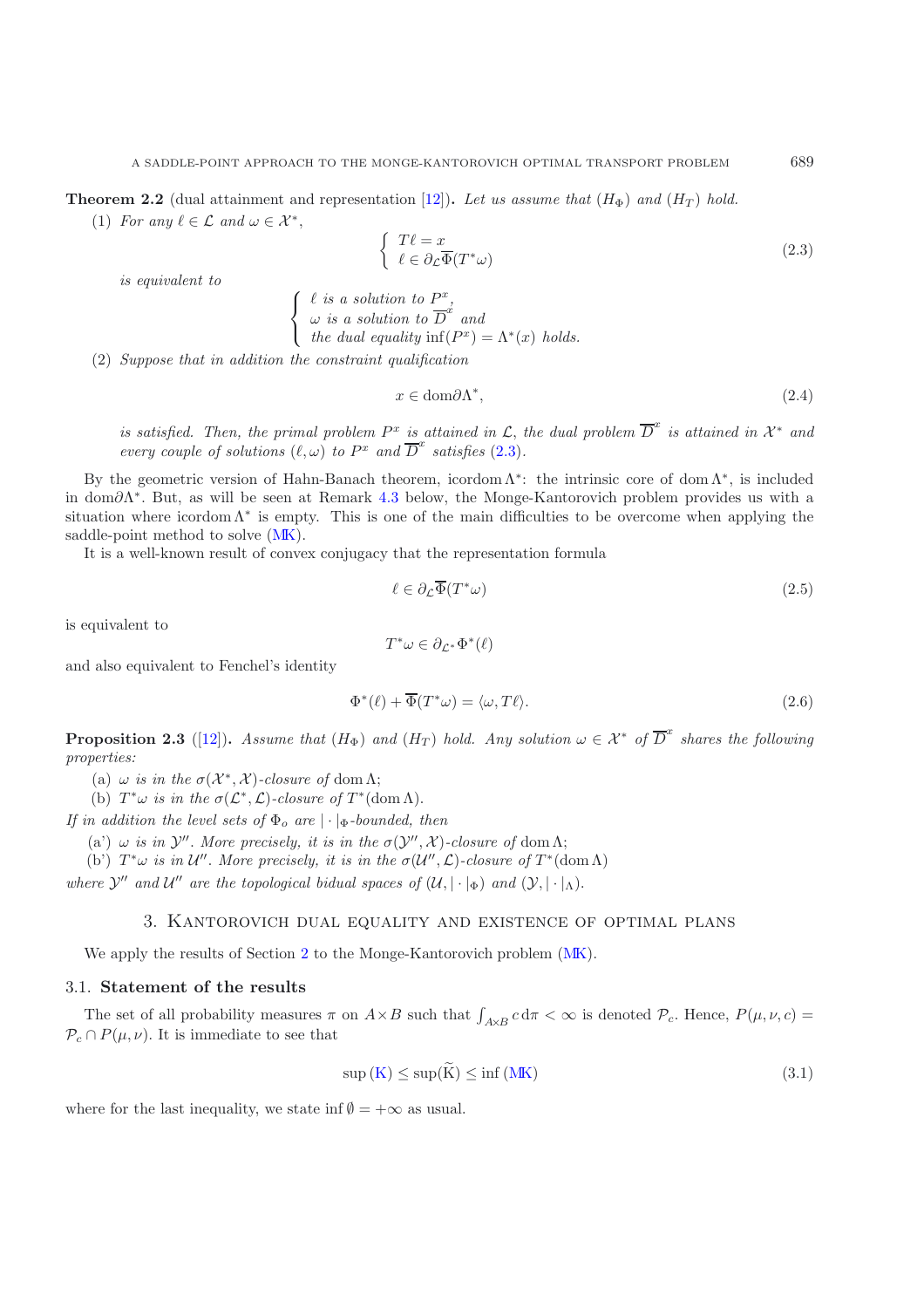**Theorem 2.2** (dual attainment and representation [\[12\]](#page-22-0)). Let us assume that  $(H_{\Phi})$  and  $(H_T)$  hold.

(1) For any  $\ell \in \mathcal{L}$  and  $\omega \in \mathcal{X}^*$ ,

$$
\begin{cases}\nT\ell = x \\
\ell \in \partial_{\mathcal{L}} \overline{\Phi}(T^*\omega)\n\end{cases} \n(2.3)
$$

*is equivalent to*

<span id="page-7-2"></span> $\ell$  *is a solution to*  $P^x$ ,  $\omega$  *is a solution to*  $D^*$  *and the dual equality*  $\inf(P^x) = \Lambda^*(x)$  *holds.* 

(2) *Suppose that in addition the constraint qualification*

<span id="page-7-0"></span> $\sqrt{ }$  $\mathsf{I}$  $\mathsf{l}$ 

$$
x \in \text{dom}\partial\Lambda^*,\tag{2.4}
$$

*is satisfied. Then, the primal problem*  $P^x$  *is attained in*  $\mathcal{L}$ *, the dual problem*  $\overline{D}^x$  *is attained in*  $\mathcal{X}^*$  *and every couple of solutions*  $(\ell, \omega)$  *to*  $P^x$  *and*  $\overline{D}^x$  *satisfies* [\(2.3\)](#page-7-0)*.* 

By the geometric version of Hahn-Banach theorem, icordom  $\Lambda^*$ : the intrinsic core of dom  $\Lambda^*$ , is included in dom∂Λ<sup>∗</sup>. But, as will be seen at Remark [4.3](#page-1-3) below, the Monge-Kantorovich problem provides us with a situation where icordom  $\Lambda^*$  is empty. This is one of the main difficulties to be overcome when applying the saddle-point method to solve [\(MK\)](#page-0-0).

It is a well-known result of convex conjugacy that the representation formula

$$
\ell \in \partial_{\mathcal{L}} \overline{\Phi}(T^*\omega) \tag{2.5}
$$

is equivalent to

$$
T^*\omega\in\partial_{\mathcal{L}^*}\Phi^*(\ell)
$$

and also equivalent to Fenchel's identity

$$
\Phi^*(\ell) + \overline{\Phi}(T^*\omega) = \langle \omega, T\ell \rangle.
$$
\n(2.6)

**Proposition 2.3** ([\[12](#page-22-0)]). *Assume that*  $(H_{\Phi})$  *and*  $(H_T)$  *hold. Any solution*  $\omega \in \mathcal{X}^*$  *of*  $\overline{D}^x$  *shares the following properties:*

(a)  $\omega$  *is in the*  $\sigma(\mathcal{X}^*, \mathcal{X})$ -closure of dom  $\Lambda$ ;

(b)  $T^*\omega$  *is in the*  $\sigma(\mathcal{L}^*, \mathcal{L})$ *-closure of*  $T^*(\text{dom }\Lambda)$ *.* 

*If in addition the level sets of*  $\Phi_o$  *are*  $|\cdot|_{\Phi}$ *-bounded, then* 

(a')  $\omega$  *is in*  $\mathcal{Y}''$ *. More precisely, it is in the*  $\sigma(\mathcal{Y}'', \mathcal{X})$ *-closure of* dom Λ;

(b)  $T^*\omega$  *is in*  $\mathcal{U}''$ *. More precisely, it is in the*  $\sigma(\mathcal{U}'',\mathcal{L})$ *-closure of*  $T^*(\text{dom }\Lambda)$ 

*where*  $\mathcal{Y}''$  *and*  $\mathcal{U}''$  *are the topological bidual spaces of*  $(\mathcal{U}, \vert \cdot \vert_{\Phi})$  *and*  $(\mathcal{Y}, \vert \cdot \vert_{\Lambda})$ .

## 3. Kantorovich dual equality and existence of optimal plans

We apply the results of Section [2](#page-5-0) to the Monge-Kantorovich problem  $(MK)$ .

## 3.1. **Statement of the results**

The set of all probability measures  $\pi$  on  $A \times B$  such that  $\int_{A \times B} c d\pi < \infty$  is denoted  $\mathcal{P}_c$ . Hence,  $P(\mu, \nu, c) =$  $\mathcal{P}_c \cap P(\mu, \nu)$ . It is immediate to see that

<span id="page-7-1"></span>
$$
\sup\left(K\right) \leq \sup(K) \leq \inf\left(MK\right) \tag{3.1}
$$

where for the last inequality, we state inf  $\emptyset = +\infty$  as usual.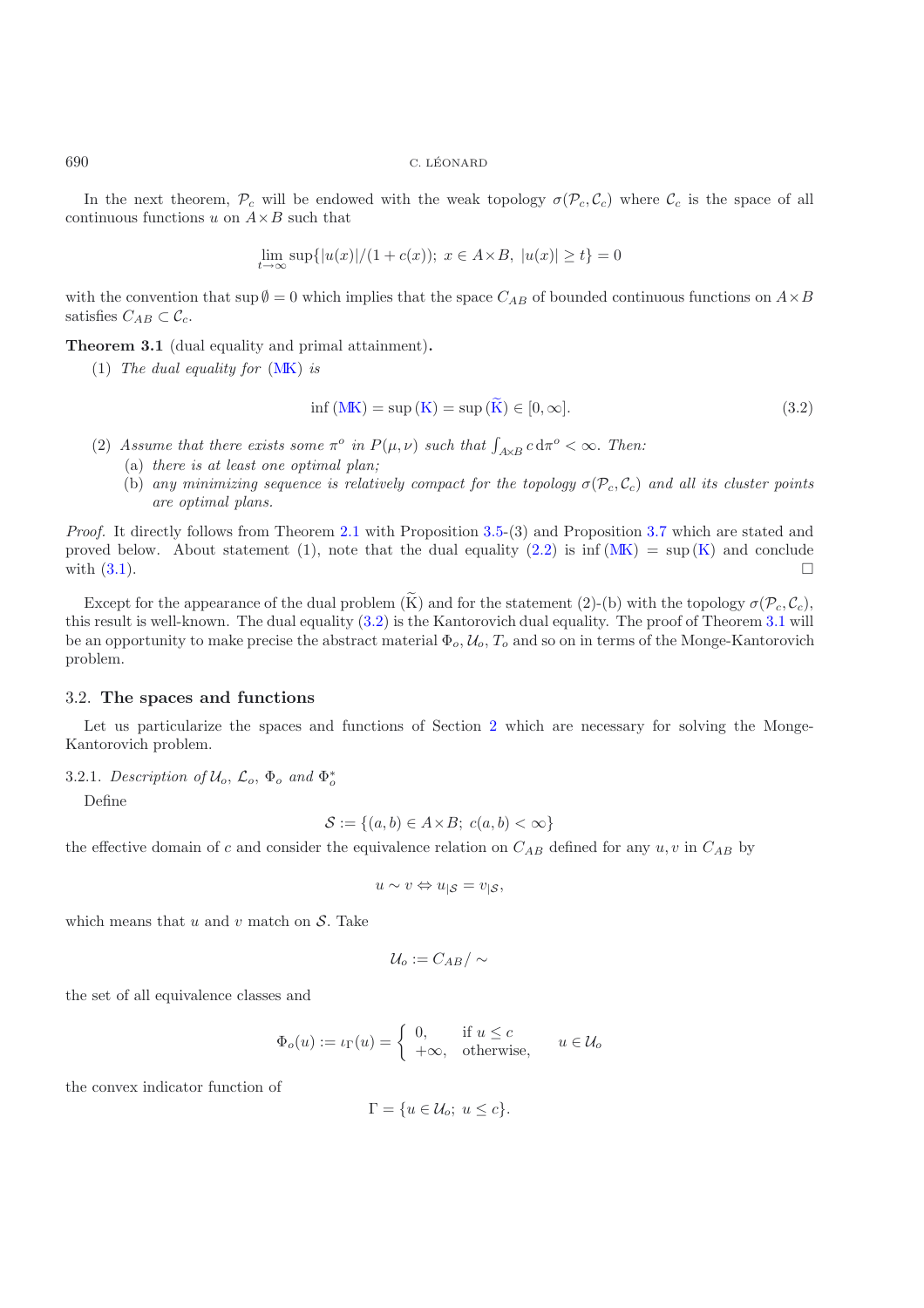In the next theorem,  $\mathcal{P}_c$  will be endowed with the weak topology  $\sigma(\mathcal{P}_c, \mathcal{C}_c)$  where  $\mathcal{C}_c$  is the space of all continuous functions u on  $A \times B$  such that

$$
\lim_{t \to \infty} \sup\{|u(x)|/(1 + c(x)); \ x \in A \times B, \ |u(x)| \ge t\} = 0
$$

with the convention that sup  $\emptyset = 0$  which implies that the space  $C_{AB}$  of bounded continuous functions on  $A \times B$ satisfies  $C_{AB} \subset \mathcal{C}_c$ .

**Theorem 3.1** (dual equality and primal attainment)**.**

(1) *The dual equality for* [\(MK\)](#page-0-0) *is*

$$
\inf\left(\mathbf{MK}\right) = \sup\left(\mathbf{K}\right) = \sup\left(\mathbf{\tilde{K}}\right) \in [0, \infty].\tag{3.2}
$$

- <span id="page-8-0"></span>(2) Assume that there exists some  $\pi^o$  in  $P(\mu, \nu)$  such that  $\int_{A \times B} c d\pi^o < \infty$ . Then:<br>(3) there is at least one optimal plan:
	- (a) *there is at least one optimal plan;*
	- (b) any minimizing sequence is relatively compact for the topology  $\sigma(\mathcal{P}_c, \mathcal{C}_c)$  and all its cluster points *are optimal plans.*

*Proof.* It directly follows from Theorem [2.1](#page-1-2) with Proposition [3.5-](#page-2-3)(3) and Proposition [3.7](#page-3-1) which are stated and proved below. About statement (1), note that the dual equality [\(2.2\)](#page-6-0) is inf  $(MK) = \sup(K)$  $(MK) = \sup(K)$  $(MK) = \sup(K)$  and conclude with  $(3.1)$ .

Except for the appearance of the dual problem  $(\widetilde{K})$  and for the statement (2)-(b) with the topology  $\sigma(\mathcal{P}_c, \mathcal{C}_c)$ , this result is well-known. The dual equality [\(3.2\)](#page-8-0) is the Kantorovich dual equality. The proof of Theorem [3.1](#page-1-2) will be an opportunity to make precise the abstract material  $\Phi_o$ ,  $\mathcal{U}_o$ ,  $T_o$  and so on in terms of the Monge-Kantorovich problem.

## 3.2. **The spaces and functions**

Let us particularize the spaces and functions of Section [2](#page-5-0) which are necessary for solving the Monge-Kantorovich problem.

## 3.2.1. *Description of*  $U_o$ ,  $\mathcal{L}_o$ ,  $\Phi_o$  *and*  $\Phi_o^*$

Define

$$
\mathcal{S} := \{(a, b) \in A \times B; \ c(a, b) < \infty\}
$$

the effective domain of c and consider the equivalence relation on  $C_{AB}$  defined for any  $u, v$  in  $C_{AB}$  by

$$
u \sim v \Leftrightarrow u_{|S} = v_{|S},
$$

which means that  $u$  and  $v$  match on  $S$ . Take

$$
\mathcal{U}_o:=C_{AB}/\sim
$$

the set of all equivalence classes and

$$
\Phi_o(u):=\iota_\Gamma(u)=\left\{\begin{array}{ll}0,&\text{if }u\leq c\\+\infty,&\text{otherwise},\end{array}\right.\quad u\in\mathcal{U}_o
$$

the convex indicator function of

$$
\Gamma = \{ u \in \mathcal{U}_o; \ u \le c \}.
$$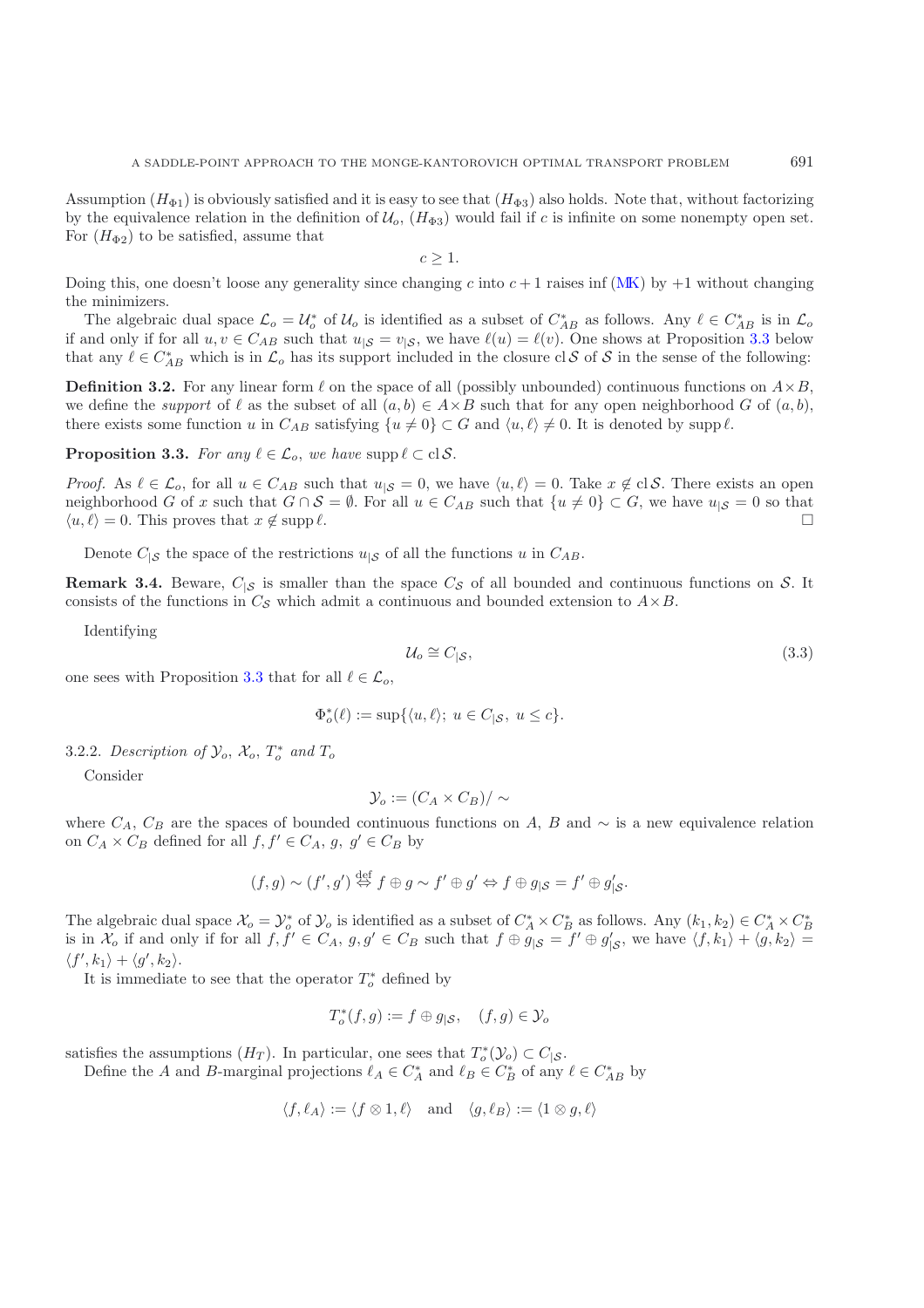Assumption  $(H_{\Phi_1})$  is obviously satisfied and it is easy to see that  $(H_{\Phi_3})$  also holds. Note that, without factorizing by the equivalence relation in the definition of  $\mathcal{U}_o$ ,  $(H_{\Phi 3})$  would fail if c is infinite on some nonempty open set. For  $(H_{\Phi_2})$  to be satisfied, assume that

$$
c\geq 1.
$$

Doing this, one doesn't loose any generality since changing c into  $c + 1$  raises inf [\(MK\)](#page-0-0) by  $+1$  without changing the minimizers.

The algebraic dual space  $\mathcal{L}_o = \mathcal{U}_o^*$  of  $\mathcal{U}_o$  is identified as a subset of  $C_{AB}^*$  as follows. Any  $\ell \in C_{AB}^*$  is in  $\mathcal{L}_o$ <br>and only if for all  $u, v \in C$  is such that  $u \in L$  we have  $\ell(u) = \ell(v)$ . One shows if and only if for all  $u, v \in C_{AB}$  such that  $u_{|S} = v_{|S}$ , we have  $\ell(u) = \ell(v)$ . One shows at Proposition [3.3](#page-1-3) below that any  $\ell \in C_{AB}^*$  which is in  $\mathcal{L}_o$  has its support included in the closure cl S of S in the sense of the following:

**Definition 3.2.** For any linear form  $\ell$  on the space of all (possibly unbounded) continuous functions on  $A \times B$ , we define the *support* of  $\ell$  as the subset of all  $(a, b) \in A \times B$  such that for any open neighborhood G of  $(a, b)$ , there exists some function u in  $C_{AB}$  satisfying  $\{u \neq 0\} \subset G$  and  $\langle u, \ell \rangle \neq 0$ . It is denoted by supp  $\ell$ .

**Proposition 3.3.** *For any*  $\ell \in \mathcal{L}_o$ , *we have* supp  $\ell \subset \text{cl} \mathcal{S}$ *.* 

*Proof.* As  $\ell \in \mathcal{L}_o$ , for all  $u \in C_{AB}$  such that  $u_{\ell, \mathcal{S}} = 0$ , we have  $\langle u, \ell \rangle = 0$ . Take  $x \notin \text{cl}\,\mathcal{S}$ . There exists an open neighborhood G of x such that  $G \cap S = \emptyset$ . For all  $u \in C_{AB}$  such that  $\{u \neq 0\} \subset G$ , we have  $u_{|S} = 0$  so that  $\langle u, \ell \rangle = 0$ . This proves that  $x \notin \text{supp } \ell$ .  $\Box$ 

Denote  $C_{\vert S}$  the space of the restrictions  $u_{\vert S}$  of all the functions u in  $C_{AB}$ .

**Remark 3.4.** Beware,  $C_{\vert S}$  is smaller than the space  $C_{\mathcal{S}}$  of all bounded and continuous functions on  $S$ . It consists of the functions in  $C_{\mathcal{S}}$  which admit a continuous and bounded extension to  $A \times B$ .

Identifying

$$
\mathcal{U}_o \cong C_{|S},\tag{3.3}
$$

one sees with Proposition [3.3](#page-1-3) that for all  $\ell \in \mathcal{L}_o$ ,

<span id="page-9-0"></span> $\Phi_{o}^{*}(\ell) := \sup \{ \langle u, \ell \rangle; u \in C_{|S}, u \le c \}.$ 

3.2.2. *Description of*  $\mathcal{Y}_o$ ,  $\mathcal{X}_o$ ,  $T_o^*$  and  $T_o$ 

Consider

$$
\mathcal{Y}_o := (C_A \times C_B) / \sim
$$

where  $C_A$ ,  $C_B$  are the spaces of bounded continuous functions on A, B and  $\sim$  is a new equivalence relation on  $C_A \times C_B$  defined for all  $f, f' \in C_A$ ,  $g, g' \in C_B$  by

$$
(f,g) \sim (f',g') \stackrel{\text{def}}{\Leftrightarrow} f \oplus g \sim f' \oplus g' \Leftrightarrow f \oplus g_{|S} = f' \oplus g'_{|S}.
$$

The algebraic dual space  $\mathcal{X}_o = \mathcal{Y}_o^*$  of  $\mathcal{Y}_o$  is identified as a subset of  $C_A^* \times C_B^*$  as follows. Any  $(k_1, k_2) \in C_A^* \times C_B^*$ <br>is in  $\mathcal{X}$  if and only if for all  $f$   $f' \in C_A$ ,  $g g' \in C_B$  such that  $f \oplus g_{\alpha}$ is in  $\mathcal{X}_o$  if and only if for all  $f, f' \in C_A$ ,  $g, g' \in C_B$  such that  $f \oplus g_{|S} = f' \oplus g'_{|S}$ , we have  $\langle f, k_1 \rangle + \langle g, k_2 \rangle =$  $\langle f', k_1 \rangle + \langle g', k_2 \rangle.$ 

It is immediate to see that the operator  $T_o^*$  defined by

$$
T_o^*(f,g) := f \oplus g_{|S}, \quad (f,g) \in \mathcal{Y}_o
$$

satisfies the assumptions  $(H_T)$ . In particular, one sees that  $T_o^*(\mathcal{Y}_o) \subset C_{|S}$ .<br>Define the A and B marginal projections  $\ell_i \in C^*$  and  $\ell_o \in C^*$  of any

Define the A and B-marginal projections  $\ell_A \in C_A^*$  and  $\ell_B \in C_B^*$  of any  $\ell \in C_{AB}^*$  by

$$
\langle f, \ell_A \rangle := \langle f \otimes 1, \ell \rangle \quad \text{and} \quad \langle g, \ell_B \rangle := \langle 1 \otimes g, \ell \rangle
$$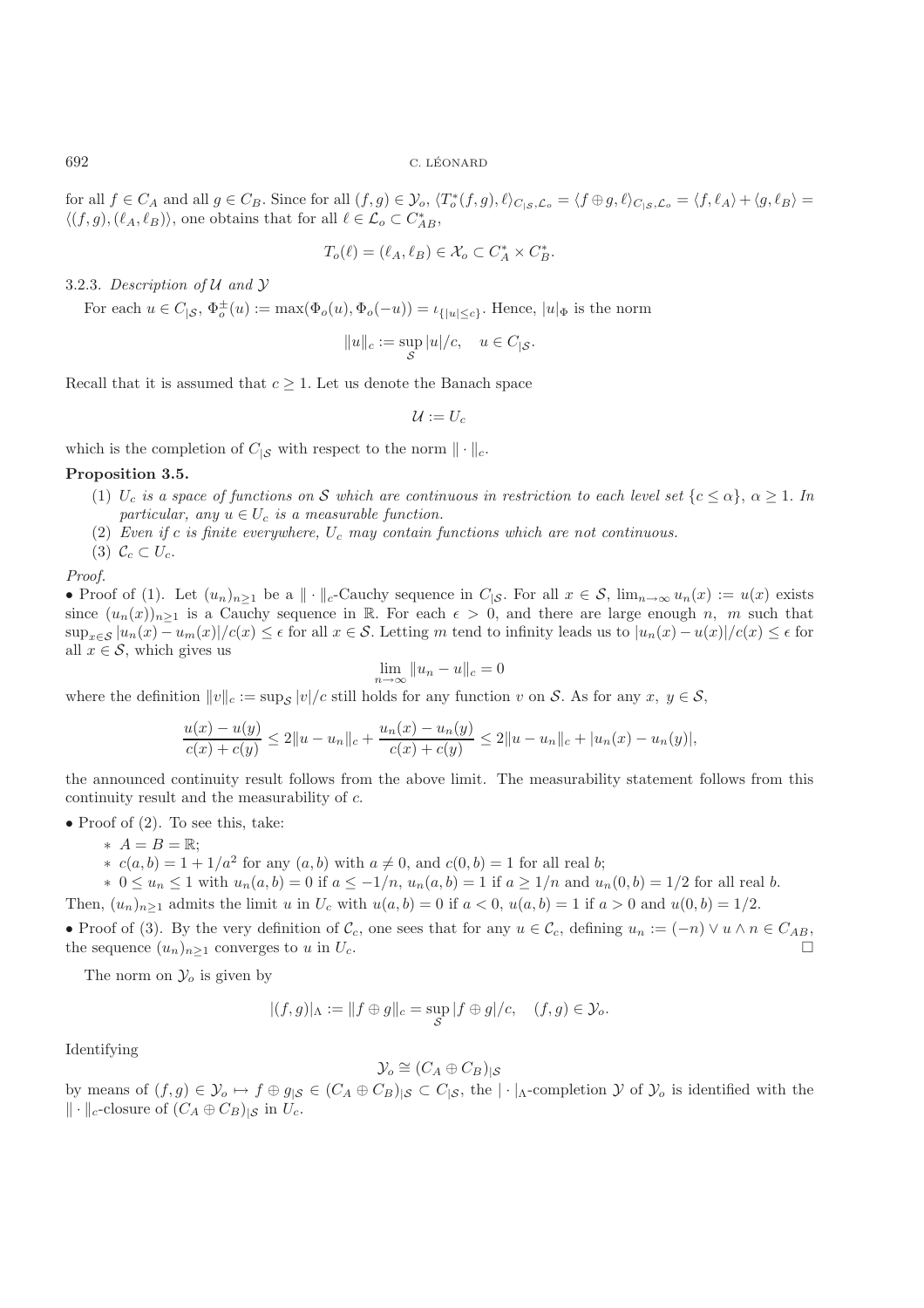for all  $f \in C_A$  and all  $g \in C_B$ . Since for all  $(f, g) \in \mathcal{Y}_o$ ,  $\langle T_o^*(f, g), \ell \rangle_{C_{|S}, \mathcal{L}_o} = \langle f \oplus g, \ell \rangle_{C_{|S}, \mathcal{L}_o} = \langle f, \ell_A \rangle + \langle g, \ell_B \rangle =$  $\langle (f,g),(\ell_A,\ell_B) \rangle$ , one obtains that for all  $\ell \in \mathcal{L}_o \subset C^*_{AB}$ ,

$$
T_o(\ell) = (\ell_A, \ell_B) \in \mathcal{X}_o \subset C_A^* \times C_B^*.
$$

3.2.3. *Description of* U *and* Y

For each  $u \in C_{|S}$ ,  $\Phi_o^{\pm}(u) := \max(\Phi_o(u), \Phi_o(-u)) = \iota_{\{|u| \le c\}}$ . Hence,  $|u|_{\Phi}$  is the norm

$$
||u||_c := \sup_{\mathcal{S}} |u|/c, \quad u \in C_{|\mathcal{S}}.
$$

Recall that it is assumed that  $c \geq 1$ . Let us denote the Banach space

$$
\mathcal{U}:=U_c
$$

which is the completion of  $C_{\vert S}$  with respect to the norm  $\Vert \cdot \Vert_c$ .

#### **Proposition 3.5.**

- (1)  $U_c$  *is a space of functions on* S which are continuous in restriction to each level set  $\{c \leq \alpha\}, \alpha \geq 1$ . In *particular, any*  $u \in U_c$  *is a measurable function.*
- (2) *Even if* <sup>c</sup> *is finite everywhere,* <sup>U</sup>c *may contain functions which are not continuous.*
- (3)  $\mathcal{C}_c \subset U_c$ .

*Proof.*

• Proof of (1). Let  $(u_n)_{n\geq 1}$  be a  $\|\cdot\|_c$ -Cauchy sequence in  $C_{|S}$ . For all  $x \in S$ ,  $\lim_{n\to\infty} u_n(x) := u(x)$  exists since  $(u_n(x))_{n\geq 1}$  is a Cauchy sequence in R. For each  $\epsilon > 0$ , and there are large enough n, m such that  $\sup_{x\in\mathcal{S}}|u_n(x)-u_m(x)|/c(x)\leq\epsilon$  for all  $x\in\mathcal{S}$ . Letting m tend to infinity leads us to  $|u_n(x)-u(x)|/c(x)\leq\epsilon$  for all  $x \in \mathcal{S}$ , which gives us

$$
\lim_{n \to \infty} \|u_n - u\|_c = 0
$$

where the definition  $||v||_c := \sup_{\mathcal{S}} |v|/c$  still holds for any function v on S. As for any  $x, y \in \mathcal{S}$ ,

$$
\frac{u(x) - u(y)}{c(x) + c(y)} \le 2||u - u_n||_c + \frac{u_n(x) - u_n(y)}{c(x) + c(y)} \le 2||u - u_n||_c + |u_n(x) - u_n(y)|,
$$

the announced continuity result follows from the above limit. The measurability statement follows from this continuity result and the measurability of c.

• Proof of  $(2)$ . To see this, take:

- ∗ A = B = R;
- $\star$  c(a, b) = 1 + 1/a<sup>2</sup> for any (a, b) with a ≠ 0, and c(0, b) = 1 for all real b;
- $* 0 \leq u_n \leq 1$  with  $u_n(a, b) = 0$  if  $a \leq -1/n$ ,  $u_n(a, b) = 1$  if  $a \geq 1/n$  and  $u_n(0, b) = 1/2$  for all real b.
- Then,  $(u_n)_{n>1}$  admits the limit u in  $U_c$  with  $u(a, b) = 0$  if  $a < 0$ ,  $u(a, b) = 1$  if  $a > 0$  and  $u(0, b) = 1/2$ .

• Proof of (3). By the very definition of  $\mathcal{C}_c$ , one sees that for any  $u \in \mathcal{C}_c$ , defining  $u_n := (-n) \vee u \wedge n \in C_{AB}$ , the sequence  $(u_n)_{n\geq 1}$  converges to u in  $U_c$ .

The norm on  $\mathcal{Y}_o$  is given by

$$
|(f,g)|_{\Lambda} := ||f \oplus g||_c = \sup_{\mathcal{S}} |f \oplus g|/c, \quad (f,g) \in \mathcal{Y}_o.
$$

Identifying

$$
\mathcal{Y}_o \cong (C_A \oplus C_B)_{|S}
$$

by means of  $(f,g) \in \mathcal{Y}_o \mapsto f \oplus g_{|\mathcal{S}} \in (C_A \oplus C_B)_{|\mathcal{S}} \subset C_{|\mathcal{S}}$ , the  $|\cdot|_{\Lambda}$ -completion  $\mathcal Y$  of  $\mathcal Y_o$  is identified with the  $\|\cdot\|_c$ -closure of  $(C_A \oplus C_B)_{|S}$  in  $U_c$ .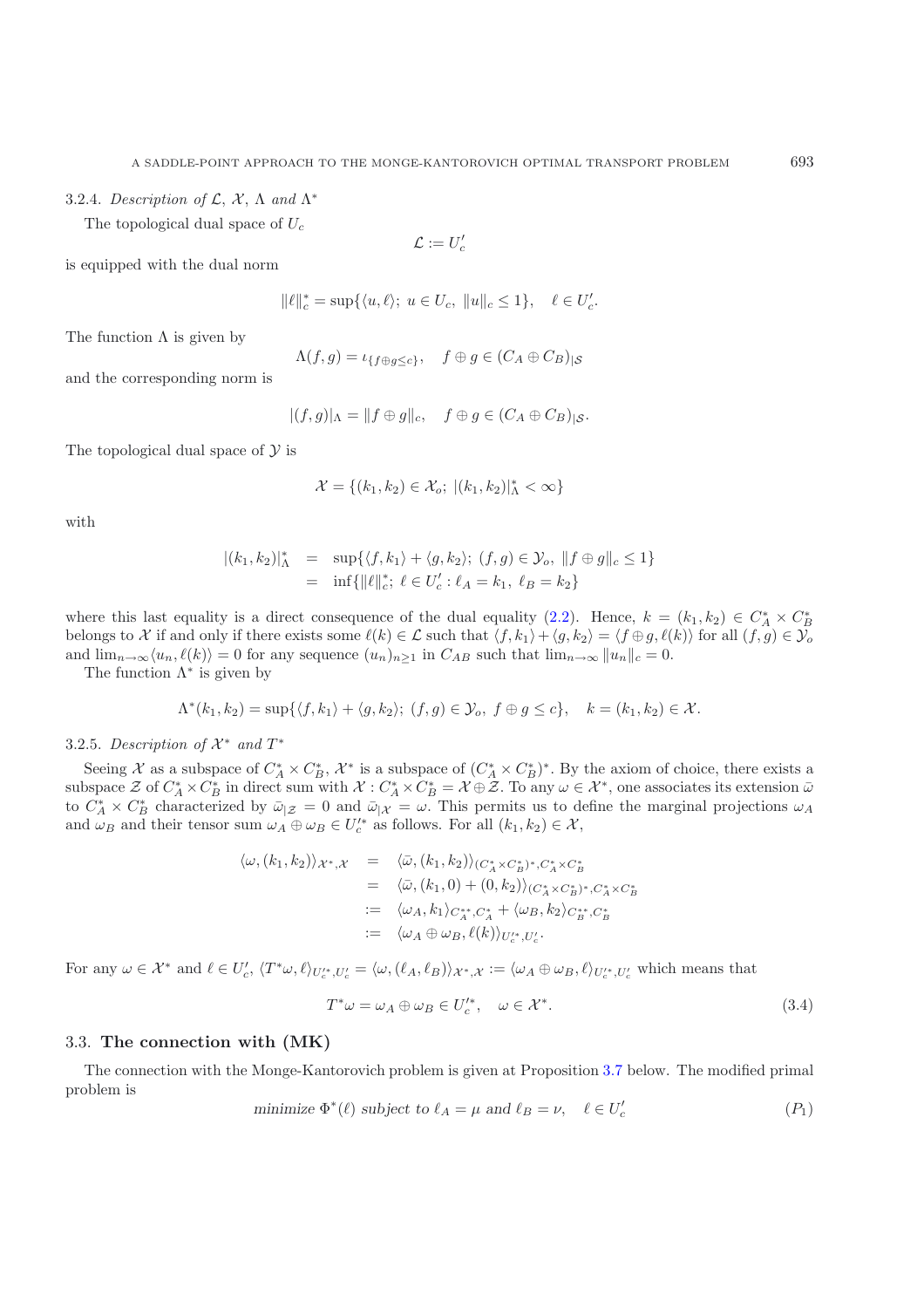3.2.4. *Description of* L, X, Λ *and* Λ<sup>∗</sup>

The topological dual space of  $U_c$ 

$$
\mathcal{L}:=U'_c
$$

is equipped with the dual norm

$$
\|\ell\|_c^* = \sup\{\langle u, \ell \rangle; \ u \in U_c, \ \|u\|_c \le 1\}, \quad \ell \in U'_c.
$$

The function  $\Lambda$  is given by

$$
\Lambda(f,g) = \iota_{\{f \oplus g \le c\}}, \quad f \oplus g \in (C_A \oplus C_B)_{|S}
$$

and the corresponding norm is

$$
|(f,g)|_{\Lambda} = ||f \oplus g||_{c}, \quad f \oplus g \in (C_A \oplus C_B)|_{\mathcal{S}}.
$$

The topological dual space of  $\mathcal Y$  is

$$
\mathcal{X} = \{(k_1, k_2) \in \mathcal{X}_o; \ |(k_1, k_2)|_{\Lambda}^* < \infty\}
$$

with

$$
|(k_1, k_2)|^*_{\Lambda} = \sup \{ \langle f, k_1 \rangle + \langle g, k_2 \rangle; (f, g) \in \mathcal{Y}_o, ||f \oplus g||_c \le 1 \}
$$
  
=  $\inf \{ ||\ell||^*_{c}; \ell \in U'_c : \ell_A = k_1, \ell_B = k_2 \}$ 

where this last equality is a direct consequence of the dual equality [\(2.2\)](#page-6-0). Hence,  $k = (k_1, k_2) \in C_A^* \times C_E^*$ <br>belongs to X if and only if there exists some  $\ell(k) \in C$  such that  $\ell(k) + \ell q (k_2) = \ell f \oplus q (\ell(k))$  for all  $(\ell, q) \in \$ belongs to X if and only if there exists some  $\ell(k) \in \mathcal{L}$  such that  $\langle f, k_1 \rangle + \langle g, k_2 \rangle = \langle f \oplus g, \ell(k) \rangle$  for all  $(f, g) \in \mathcal{Y}_o$ and  $\lim_{n\to\infty} \langle u_n, \ell(k) \rangle = 0$  for any sequence  $(u_n)_{n\geq 1}$  in  $C_{AB}$  such that  $\lim_{n\to\infty} ||u_n||_c = 0$ .

The function  $\Lambda^*$  is given by

$$
\Lambda^*(k_1,k_2)=\sup\{\langle f,k_1\rangle+\langle g,k_2\rangle; (f,g)\in\mathcal{Y}_o, f\oplus g\leq c\}, k=(k_1,k_2)\in\mathcal{X}.
$$

3.2.5. *Description of*  $\mathcal{X}^*$  *and*  $T^*$ 

Seeing X as a subspace of  $C_A^* \times C_B^*$ ,  $\mathcal{X}^*$  is a subspace of  $(C_A^* \times C_B^*)^*$ . By the axiom of choice, there exists a subspace  $\mathcal{Z}$  of  $C^* \times C^*$  in direct sum with  $\mathcal{Y} \cdot C^* \times C^* = \mathcal{Y} \cap \mathcal{Z}$ . To any  $\omega \in$ subspace Z of  $C_A^* \times C_B^*$  in direct sum with  $\mathcal{X} : C_A^* \times C_B^* = \mathcal{X} \oplus \mathcal{Z}$ . To any  $\omega \in \mathcal{X}^*$ , one associates its extension  $\bar{\omega}$  to  $C_A^* \times C_B^*$  characterized by  $\bar{\omega}|z| = 0$  and  $\bar{\omega}|x| = \omega$ . This permits u and  $\omega_B$  and their tensor sum  $\omega_A \oplus \omega_B \in U_c'^*$  as follows. For all  $(k_1, k_2) \in \mathcal{X}$ ,

$$
\langle \omega, (k_1, k_2) \rangle_{\mathcal{X}^*, \mathcal{X}} = \langle \bar{\omega}, (k_1, k_2) \rangle_{(C_A^* \times C_B^*)^*, C_A^* \times C_B^*}
$$
  
\n
$$
= \langle \bar{\omega}, (k_1, 0) + (0, k_2) \rangle_{(C_A^* \times C_B^*)^*, C_A^* \times C_B^*}
$$
  
\n
$$
:= \langle \omega_A, k_1 \rangle_{C_A^*, C_A^*} + \langle \omega_B, k_2 \rangle_{C_B^*^*, C_B^*}
$$
  
\n
$$
:= \langle \omega_A \oplus \omega_B, \ell(k) \rangle_{U_c'^*, U_c'}.
$$

For any  $\omega \in \mathcal{X}^*$  and  $\ell \in U_c', \langle T^*\omega, \ell \rangle_{U_c'^*, U_c'} = \langle \omega, (\ell_A, \ell_B) \rangle_{\mathcal{X}^*, \mathcal{X}} := \langle \omega_A \oplus \omega_B, \ell \rangle_{U_c'^*, U_c'}$  which means that

$$
T^*\omega = \omega_A \oplus \omega_B \in U_c'^*, \quad \omega \in \mathcal{X}^*.
$$
\n(3.4)

## 3.3. **The connection with (MK)**

<span id="page-11-0"></span>The connection with the Monge-Kantorovich problem is given at Proposition [3.7](#page-3-1) below. The modified primal problem is

<span id="page-11-1"></span>minimize 
$$
\Phi^*(\ell)
$$
 subject to  $\ell_A = \mu$  and  $\ell_B = \nu$ ,  $\ell \in U'_c$  (P<sub>1</sub>)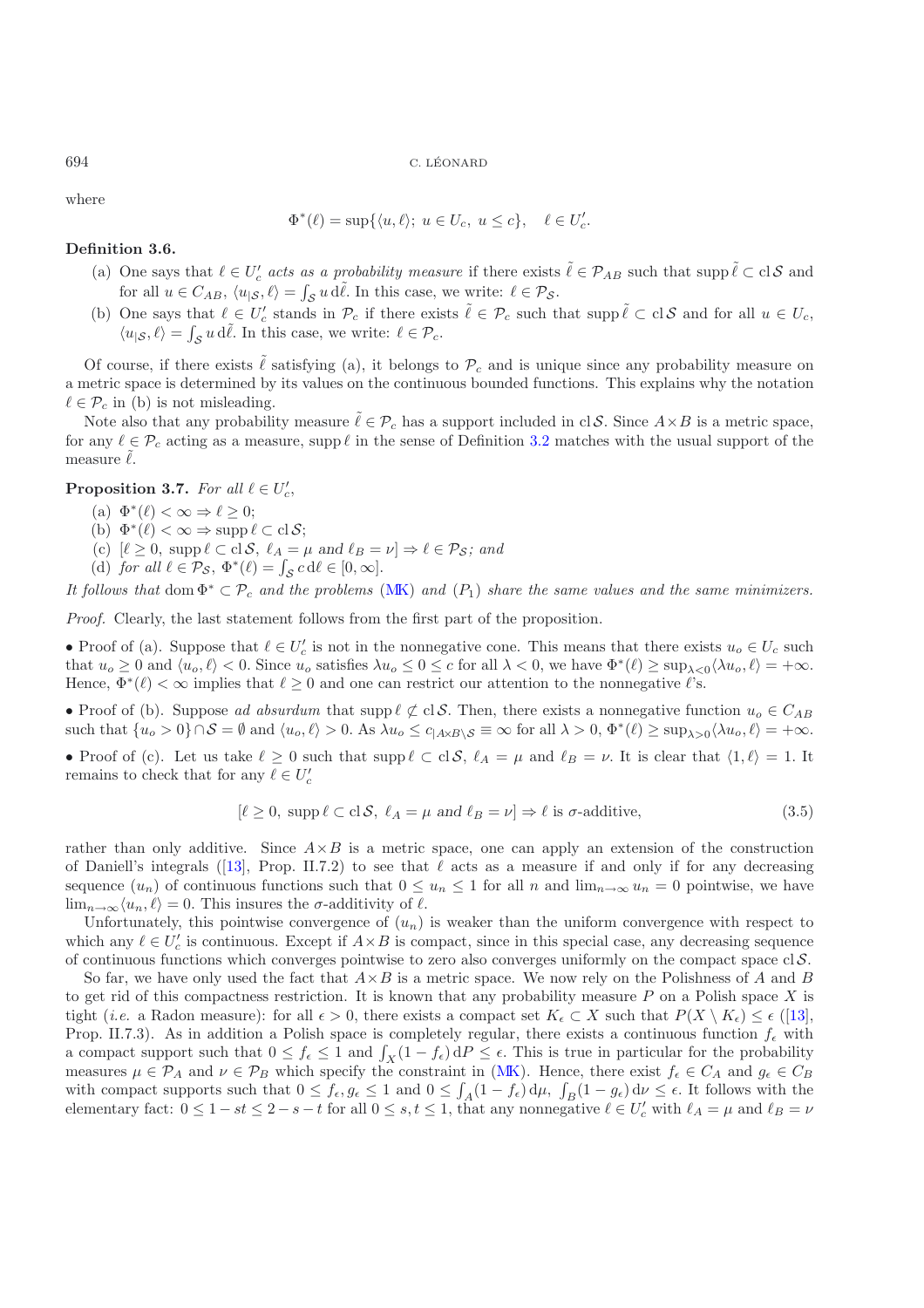where

$$
\Phi^*(\ell) = \sup \{ \langle u, \ell \rangle; \ u \in U_c, \ u \le c \}, \quad \ell \in U'_c.
$$

#### **Definition 3.6.**

- (a) One says that  $\ell \in U'_{c}$  acts as a probability measure if there exists  $\tilde{\ell} \in \mathcal{P}_{AB}$  such that supp  $\tilde{\ell} \subset c \, \mathcal{S}$  and  $\tilde{\ell}$  and  $\tilde{\ell} \in \mathcal{P}_{AB}$  and  $\tilde{\ell} \in \mathcal{P}_{AB}$  and  $\tilde{\ell} \in \mathcal{S}_{AB}$ for all  $u \in C_{AB}$ ,  $\langle u_{\vert S}, \ell \rangle = \int_{S} u \, d\tilde{\ell}$ . In this case, we write:  $\ell \in \mathcal{P}_{S}$ .
- (b) One says that  $\ell \in U_c'$  stands in  $\mathcal{P}_c$  if there exists  $\tilde{\ell} \in \mathcal{P}_c$  such that supp  $\tilde{\ell} \subset c l \mathcal{S}$  and for all  $u \in U_c$ ,  $\langle u_{\vert S}, \ell \rangle = \int_{S} u \, d\tilde{\ell}$ . In this case, we write:  $\ell \in \mathcal{P}_c$ .

Of course, if there exists  $\ell$  satisfying (a), it belongs to  $\mathcal{P}_c$  and is unique since any probability measure on a metric space is determined by its values on the continuous bounded functions. This explains why the notation  $\ell \in \mathcal{P}_c$  in (b) is not misleading.

Note also that any probability measure  $\tilde{\ell} \in \mathcal{P}_c$  has a support included in cl S. Since  $A \times B$  is a metric space, for any  $\ell \in \mathcal{P}_c$  acting as a measure, supp  $\ell$  in the sense of Definition [3.2](#page-1-0) matches with the usual support of the measure  $\ell$ .

**Proposition 3.7.** *For all*  $\ell \in U_c'$ ,

- (a)  $\Phi^*(\ell) < \infty \Rightarrow \ell > 0$ ;
- (b)  $\Phi^*(\ell) < \infty \Rightarrow \operatorname{supp} \ell \subset \mathrm{cl} \, \mathcal{S};$
- (c)  $[\ell \geq 0, \text{ supp } \ell \subset \text{cl} \mathcal{S}, \ell_A = \mu \text{ and } \ell_B = \nu] \Rightarrow \ell \in \mathcal{P}_{\mathcal{S}}; \text{ and }$
- (d) for all  $\ell \in \mathcal{P}_{\mathcal{S}}$ ,  $\Phi^*(\ell) = \int_{\mathcal{S}} c \, d\ell \in [0, \infty]$ .

*It follows that* dom  $\Phi^* \subset \mathcal{P}_c$  *and the problems* [\(MK\)](#page-0-0) *and* ( $P_1$ ) *share the same values and the same minimizers.* 

*Proof.* Clearly, the last statement follows from the first part of the proposition.

• Proof of (a). Suppose that  $\ell \in U_c'$  is not in the nonnegative cone. This means that there exists  $u_o \in U_c$  such that  $u_o \geq 0$  and  $\ell u_o \leq 0$  Singa  $u_o$  satisfies  $\lambda u_o \leq 0 \leq c$  for all  $\lambda \leq 0$  we have  $\Phi^*(\ell) \geq \sup$ that  $u_0 \geq 0$  and  $\langle u_0, \ell \rangle < 0$ . Since  $u_0$  satisfies  $\lambda u_0 \leq 0 \leq c$  for all  $\lambda < 0$ , we have  $\Phi^*(\ell) \geq \sup_{\lambda < 0} \langle \lambda u_0, \ell \rangle = +\infty$ . Hence,  $\Phi^*(\ell) < \infty$  implies that  $\ell \geq 0$  and one can restrict our attention to the nonnegative  $\ell$ 's.

• Proof of (b). Suppose *ad absurdum* that supp  $\ell \not\subset \text{cl } S$ . Then, there exists a nonnegative function  $u_o \in C_{AB}$ such that  $\{u_0 > 0\} \cap S = \emptyset$  and  $\langle u_0, \ell \rangle > 0$ . As  $\lambda u_0 \leq c_{|\mathcal{A} \times \mathcal{B} \setminus \mathcal{S}} \equiv \infty$  for all  $\lambda > 0$ ,  $\Phi^*(\ell) \geq \sup_{\lambda > 0} \langle \lambda u_0, \ell \rangle = +\infty$ .

• Proof of (c). Let us take  $\ell \geq 0$  such that  $\text{supp}\ell \subset \text{cl}\mathcal{S}$ ,  $\ell_A = \mu$  and  $\ell_B = \nu$ . It is clear that  $\langle 1, \ell \rangle = 1$ . It remains to check that for any  $\ell \in U'_c$ 

$$
[\ell \ge 0, \text{ supp } \ell \subset \text{cl } \mathcal{S}, \ \ell_A = \mu \text{ and } \ell_B = \nu] \Rightarrow \ell \text{ is } \sigma\text{-additive},\tag{3.5}
$$

rather than only additive. Since  $A \times B$  is a metric space, one can apply an extension of the construction of Daniell's integrals ([\[13\]](#page-22-14), Prop. II.7.2) to see that  $\ell$  acts as a measure if and only if for any decreasing sequence  $(u_n)$  of continuous functions such that  $0 \le u_n \le 1$  for all n and  $\lim_{n\to\infty} u_n = 0$  pointwise, we have  $\lim_{n\to\infty} \langle u_n, \ell \rangle = 0$ . This insures the  $\sigma$ -additivity of  $\ell$ .

Unfortunately, this pointwise convergence of  $(u_n)$  is weaker than the uniform convergence with respect to which any  $\ell \in U_c'$  is continuous. Except if  $A \times B$  is compact, since in this special case, any decreasing sequence<br>of continuous functions which converges pointwise to zero also converges uniformly on the compact space o of continuous functions which converges pointwise to zero also converges uniformly on the compact space  $\text{cl } \mathcal{S}$ .

So far, we have only used the fact that  $A \times B$  is a metric space. We now rely on the Polishness of A and B to get rid of this compactness restriction. It is known that any probability measure  $P$  on a Polish space  $X$  is tight (*i.e.* a Radon measure): for all  $\epsilon > 0$ , there exists a compact set  $K_{\epsilon} \subset X$  such that  $P(X \setminus K_{\epsilon}) \leq \epsilon$  ([\[13\]](#page-22-14), Prop. II.7.3). As in addition a Polish space is completely regular, there exists a continuous function  $f_{\epsilon}$  with a compact support such that  $0 \le f_{\epsilon} \le 1$  and  $\int_X (1 - f_{\epsilon}) dP \le \epsilon$ . This is true in particular for the probability<br>measures  $u \in \mathcal{D}_A$  and  $u \in \mathcal{D}_B$  which specify the constraint in (MK). Hence, there exist  $f \in \mathcal{C}_$ measures  $\mu \in \mathcal{P}_A$  and  $\nu \in \mathcal{P}_B$  which specify the constraint in [\(MK\)](#page-0-0). Hence, there exist  $f_{\epsilon} \in C_A$  and  $g_{\epsilon} \in C_B$ with compact supports such that  $0 \leq f_{\epsilon}, g_{\epsilon} \leq 1$  and  $0 \leq f_{A}(1 - f_{\epsilon}) d\mu, f_{B}(1 - g_{\epsilon}) d\nu \leq \epsilon$ . It follows with the elementary fact:  $0 \leq 1 - \epsilon t \leq 2 - \epsilon - t$  for all  $0 \leq \epsilon t \leq 1$  that any nonnegative  $\ell \in U'$  with  $\ell$ elementary fact:  $0 \leq 1 - st \leq 2 - s - t$  for all  $0 \leq s, t \leq 1$ , that any nonnegative  $\ell \in U_c'$  with  $\ell_A = \mu$  and  $\ell_B = \nu$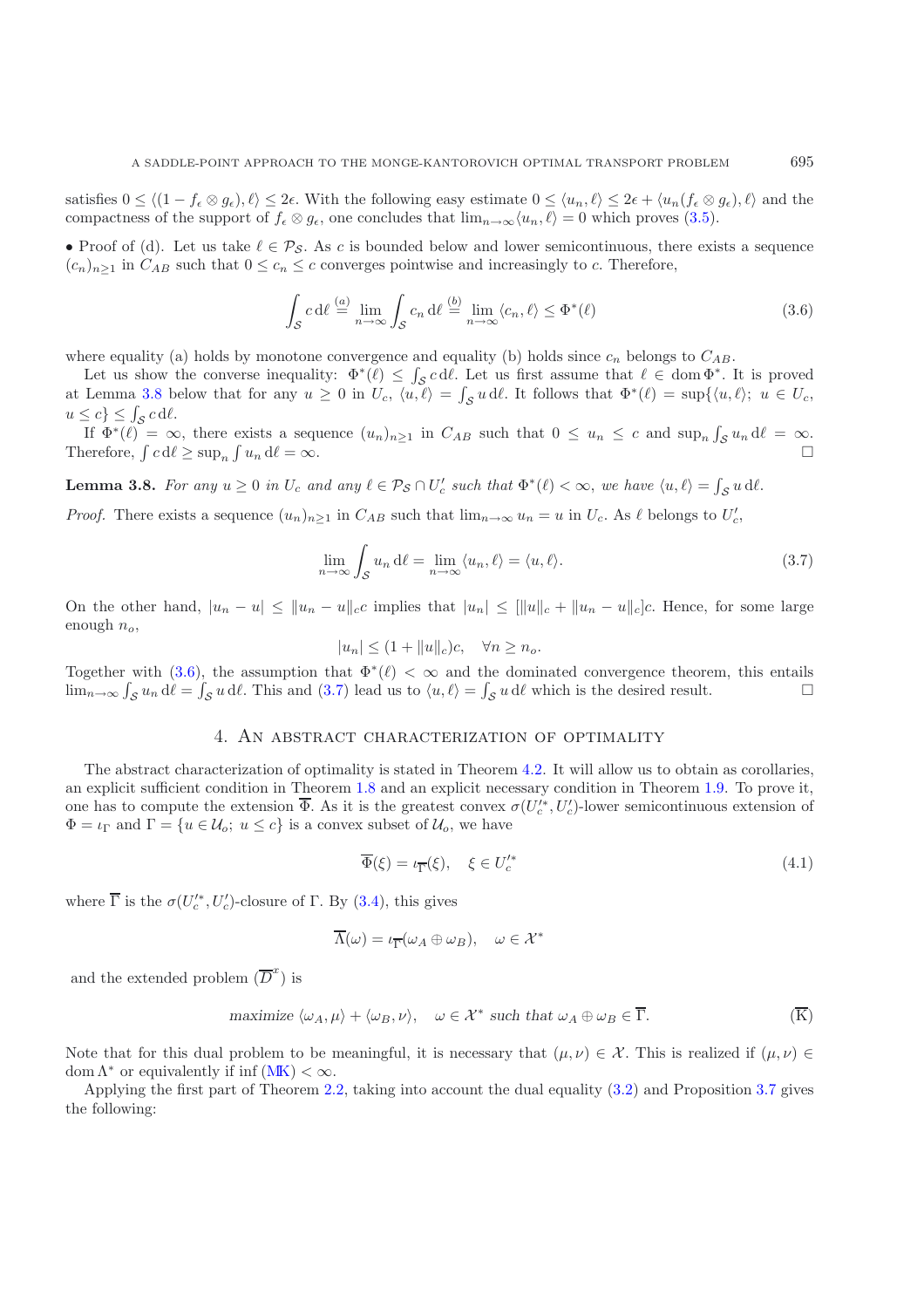satisfies  $0 \le \langle (1 - f_{\epsilon} \otimes g_{\epsilon}), \ell \rangle \le 2\epsilon$ . With the following easy estimate  $0 \le \langle u_n, \ell \rangle \le 2\epsilon + \langle u_n(f_{\epsilon} \otimes g_{\epsilon}), \ell \rangle$  and the compactness of the support of  $f_\epsilon \otimes g_\epsilon$ , one concludes that  $\lim_{n\to\infty} \langle u_n, \ell \rangle = 0$  which proves [\(3.5\)](#page-11-0).

• Proof of (d). Let us take  $\ell \in \mathcal{P}_{\mathcal{S}}$ . As c is bounded below and lower semicontinuous, there exists a sequence  $(c_n)_{n>1}$  in  $C_{AB}$  such that  $0 \leq c_n \leq c$  converges pointwise and increasingly to c. Therefore,

$$
\int_{\mathcal{S}} c \, d\ell \stackrel{(a)}{=} \lim_{n \to \infty} \int_{\mathcal{S}} c_n \, d\ell \stackrel{(b)}{=} \lim_{n \to \infty} \langle c_n, \ell \rangle \le \Phi^*(\ell)
$$
\n(3.6)

<span id="page-13-0"></span>where equality (a) holds by monotone convergence and equality (b) holds since  $c_n$  belongs to  $C_{AB}$ .

Let us show the converse inequality:  $\Phi^*(\ell) \leq \int_{\mathcal{S}} c \, d\ell$ . Let us first assume that  $\ell \in \text{dom } \Phi^*$ . It is proved at Lemma [3.8](#page-4-0) below that for any  $u \ge 0$  in  $U_c$ ,  $\langle u, \ell \rangle = \int_{\mathcal{S}} u \, d\ell$ . It follows that  $\Phi^*(\ell) = \sup\{\langle u, \ell \rangle; u \in U_c, \ell \mid \ell \in \mathbb{N}\}$  $u \leq c$   $\leq \int_{\mathcal{S}} c \, d\ell$ .

If  $\Phi^*(\ell) = \infty$ , there exists a sequence  $(u_n)_{n \geq 1}$  in  $C_{AB}$  such that  $0 \leq u_n \leq c$  and  $\sup_n \int_{\mathcal{S}} u_n d\ell = \infty$ . Therefore,  $\int c d\ell \ge \sup_n \int u_n d\ell = \infty$ .  $\int u_n \, d\ell = \infty.$ 

**Lemma 3.8.** For any  $u \ge 0$  in  $U_c$  and any  $\ell \in \mathcal{P}_{\mathcal{S}} \cap U_c'$  such that  $\Phi^*(\ell) < \infty$ , we have  $\langle u, \ell \rangle = \int_{\mathcal{S}} u \, d\ell$ .

*Proof.* There exists a sequence  $(u_n)_{n\geq 1}$  in  $C_{AB}$  such that  $\lim_{n\to\infty} u_n = u$  in  $U_c$ . As  $\ell$  belongs to  $U_c'$ ,

<span id="page-13-1"></span>
$$
\lim_{n \to \infty} \int_{\mathcal{S}} u_n \, d\ell = \lim_{n \to \infty} \langle u_n, \ell \rangle = \langle u, \ell \rangle.
$$
 (3.7)

On the other hand,  $|u_n - u| \le ||u_n - u||_c$ c implies that  $|u_n| \le ||u||_c + ||u_n - u||_c$ . Hence, for some large enough  $n_o$ ,

$$
|u_n| \le (1 + ||u||_c)c, \quad \forall n \ge n_o.
$$

Together with [\(3.6\)](#page-13-0), the assumption that  $\Phi^*(\ell) < \infty$  and the dominated convergence theorem, this entails  $\lim_{n\to\infty} \int_{\mathcal{S}} u_n \, d\ell = \int_{\mathcal{S}} u \, d\ell$ . This and [\(3.7\)](#page-13-1) lead us to  $\langle u, \ell \rangle = \int_{\mathcal{S}} u \, d\ell$  which is the desired result.

## 4. An abstract characterization of optimality

The abstract characterization of optimality is stated in Theorem [4.2.](#page-1-0) It will allow us to obtain as corollaries, an explicit sufficient condition in Theorem [1.8](#page-4-0) and an explicit necessary condition in Theorem [1.9.](#page-4-1) To prove it, one has to compute the extension  $\overline{\Phi}$ . As it is the greatest convex  $\sigma(U_c^*, U_c')$ -lower semicontinuous extension of  $\Phi = \mu_0$  and  $\Gamma = \{u \in \mathcal{U} : u \leq c\}$  is a convex subset of  $\mathcal{U}$ , we have  $\Phi = \iota_{\Gamma}$  and  $\Gamma = \{u \in \mathcal{U}_o; u \leq c\}$  is a convex subset of  $\mathcal{U}_o$ , we have

$$
\overline{\Phi}(\xi) = \iota_{\overline{\Gamma}}(\xi), \quad \xi \in U_c'^* \tag{4.1}
$$

where  $\overline{\Gamma}$  is the  $\sigma(U_c^{\prime*}, U_c^{\prime})$ -closure of  $\Gamma$ . By [\(3.4\)](#page-11-1), this gives

$$
\overline{\Lambda}(\omega) = \iota_{\overline{\Gamma}}(\omega_A \oplus \omega_B), \quad \omega \in \mathcal{X}^*
$$

<span id="page-13-2"></span>and the extended problem  $(D^{\tilde{}})$  is

maximize 
$$
\langle \omega_A, \mu \rangle + \langle \omega_B, \nu \rangle
$$
,  $\omega \in \mathcal{X}^*$  such that  $\omega_A \oplus \omega_B \in \overline{\Gamma}$ .  $(\overline{K})$ 

Note that for this dual problem to be meaningful, it is necessary that  $(\mu, \nu) \in \mathcal{X}$ . This is realized if  $(\mu, \nu) \in$ dom  $\Lambda^*$  or equivalently if inf  $(MK) < \infty$  $(MK) < \infty$ .

Applying the first part of Theorem [2.2,](#page-1-0) taking into account the dual equality [\(3.2\)](#page-8-0) and Proposition [3.7](#page-3-1) gives the following: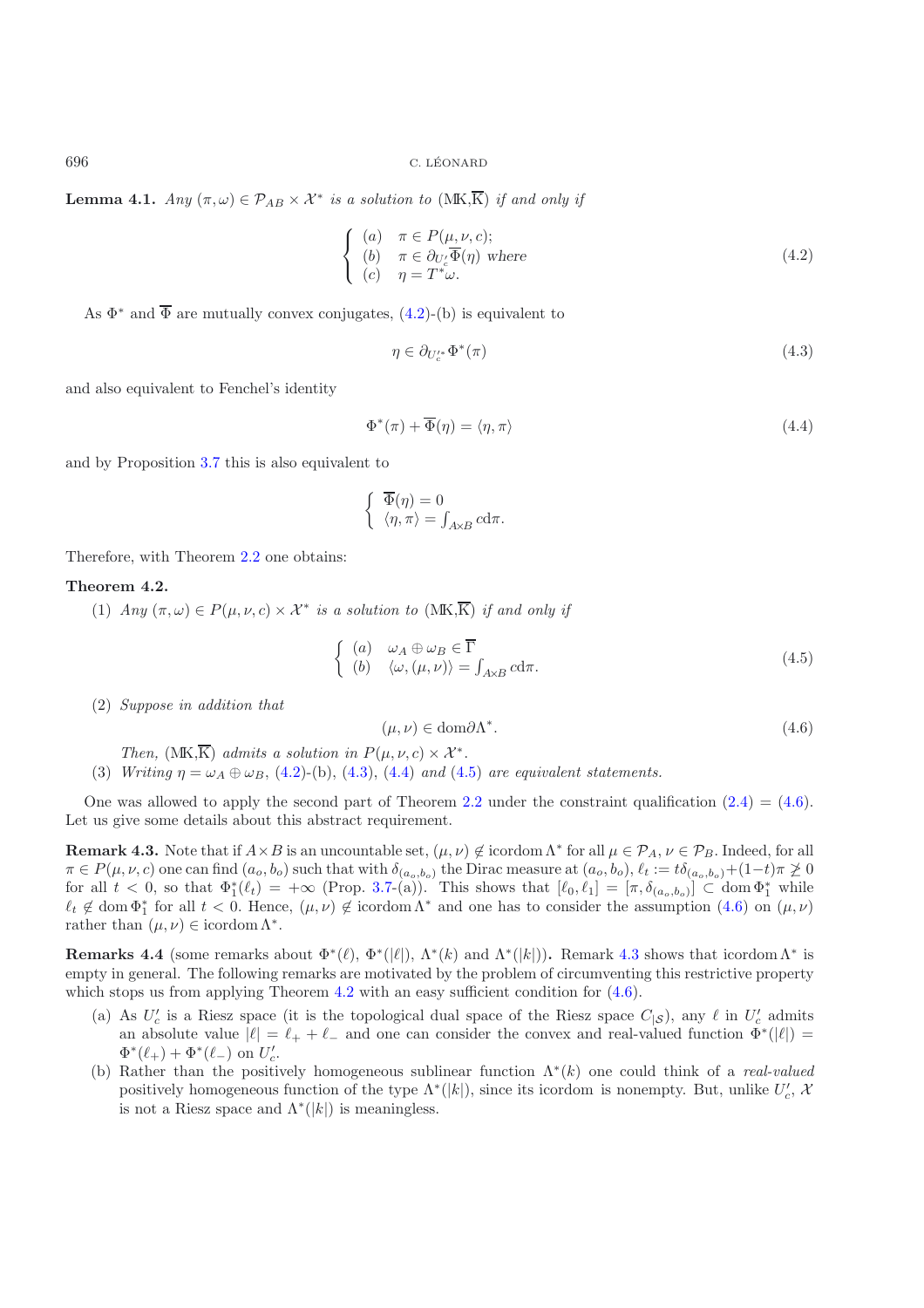**Lemma 4.1.** *Any*  $(\pi, \omega) \in \mathcal{P}_{AB} \times \mathcal{X}^*$  *is a solution to* (MK,  $\overline{K}$ ) *if and only if* 

$$
\begin{cases}\n(a) & \pi \in P(\mu, \nu, c);\n\\
(b) & \pi \in \partial_{U_c'} \overline{\Phi}(\eta) \text{ where }\\
(c) & \eta = T^*\omega.\n\end{cases}
$$
\n(4.2)

As  $\Phi^*$  and  $\overline{\Phi}$  are mutually convex conjugates, [\(4.2\)](#page-13-2)-(b) is equivalent to

<span id="page-14-0"></span>
$$
\eta \in \partial_{U_c^*} \Phi^*(\pi) \tag{4.3}
$$

and also equivalent to Fenchel's identity

<span id="page-14-1"></span>
$$
\Phi^*(\pi) + \overline{\Phi}(\eta) = \langle \eta, \pi \rangle \tag{4.4}
$$

and by Proposition [3.7](#page-3-1) this is also equivalent to

$$
\begin{cases} \overline{\Phi}(\eta) = 0 \\ \langle \eta, \pi \rangle = \int_{A \times B} c \mathrm{d}\pi. \end{cases}
$$

Therefore, with Theorem [2.2](#page-1-0) one obtains:

## **Theorem 4.2.**

(1) *Any*  $(\pi, \omega) \in P(\mu, \nu, c) \times \mathcal{X}^*$  *is a solution to*  $(MK,\overline{K})$  *if and only if* 

<span id="page-14-3"></span><span id="page-14-2"></span>
$$
\begin{cases}\n(a) & \omega_A \oplus \omega_B \in \overline{\Gamma} \\
(b) & \langle \omega, (\mu, \nu) \rangle = \int_{A \times B} c \mathrm{d}\pi.\n\end{cases}
$$
\n(4.5)

(2) *Suppose in addition that*

$$
(\mu, \nu) \in \text{dom}\partial\Lambda^*.\tag{4.6}
$$

*Then,*  $(MK,\overline{K})$  *admits a solution in*  $P(\mu,\nu,c) \times \mathcal{X}^*$ .

(3) *Writing*  $\eta = \omega_A \oplus \omega_B$ , [\(4.2\)](#page-13-2)-(b), [\(4.3\)](#page-14-0), [\(4.4\)](#page-14-1) *and* [\(4.5\)](#page-14-2) *are equivalent statements.* 

One was allowed to apply the second part of Theorem [2.2](#page-1-0) under the constraint qualification  $(2.4)=(4.6)$  $(2.4)=(4.6)$  $(2.4)=(4.6)$ . Let us give some details about this abstract requirement.

**Remark 4.3.** Note that if  $A \times B$  is an uncountable set,  $(\mu, \nu) \notin \text{icordom } \Lambda^*$  for all  $\mu \in \mathcal{P}_A$ ,  $\nu \in \mathcal{P}_B$ . Indeed, for all  $\pi \in P(\mu, \nu, c)$  one can find  $(a_o, b_o)$  such that with  $\delta_{(a_o, b_o)}$  the Dirac measure at  $(a_o, b_o)$ ,  $\ell_t := t \delta_{(a_o, b_o)} + (1-t) \pi \ngeq 0$ <br>for all  $t < 0$ , so that  $\Phi_1^*(\ell_t) = +\infty$  (Prop. [3.7-](#page-3-1)(a)). This shows that  $[\ell_0, \ell_1] = [\pi, \delta_{($  $\ell_t \notin \text{dom } \Phi_1^*$  for all  $t < 0$ . Hence,  $(\mu, \nu) \notin \text{icordom } \Lambda^*$  and one has to consider the assumption  $(4.6)$  on  $(\mu, \nu)$ rather than  $(\mu, \nu) \in \text{icordom } \Lambda^*$ .

**Remarks 4.4** (some remarks about  $\Phi^*(\ell)$ ,  $\Phi^*(\ell)$ ),  $\Lambda^*(k)$  and  $\Lambda^*(|k|)$ ). Remark [4.3](#page-1-3) shows that icordom  $\Lambda^*$  is empty in general. The following remarks are motivated by the problem of circumventing this restrictive property which stops us from applying Theorem [4.2](#page-1-0) with an easy sufficient condition for  $(4.6)$ .

- (a) As  $U'_c$  is a Riesz space (it is the topological dual space of the Riesz space  $C_{|S}$ ), any  $\ell$  in  $U'_c$  admits an absolute value  $|\ell| = \ell_+ + \ell_-$  and one can consider the convex and real-valued function  $\Phi^*(|\ell|)$  $\Phi^*(\ell_+) + \Phi^*(\ell_-)$  on  $U_c'$ .<br>Bather than the position
- (b) Rather than the positively homogeneous sublinear function Λ<sup>∗</sup>(k) one could think of a *real-valued* positively homogeneous function of the type  $\Lambda^*(|k|)$ , since its icordom is nonempty. But, unlike  $U_c'$ ,  $\mathcal X$ is not a Riesz space and  $\Lambda^*(|k|)$  is meaningless.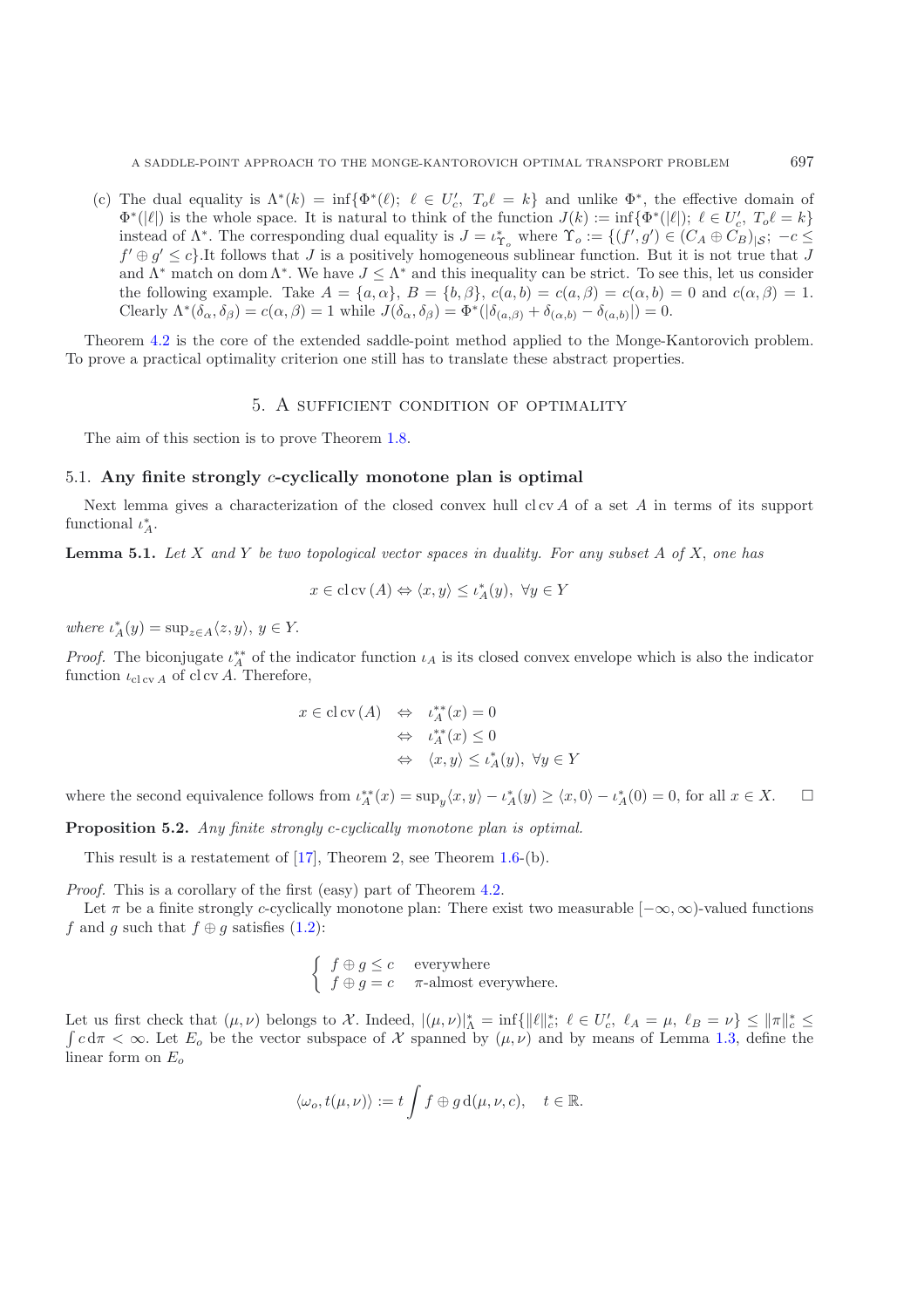(c) The dual equality is  $\Lambda^*(k) = \inf{\Phi^*(\ell)}$ ;  $\ell \in U'_c$ ,  $T_o \ell = k$  and unlike  $\Phi^*$ , the effective domain of  $\Phi^*(\ell)$  is the whole space. It is natural to think of the function  $I(k) := \inf_{\ell} \Phi^*(\ell)$ .  $\ell \in U'$ ,  $T \ell = k$  $\Phi^*(|\ell|)$  is the whole space. It is natural to think of the function  $J(k) := \inf \{ \Phi^*(|\ell|); \ \ell \in U'_c, T_o \ell = k \}$ <br>instead of  $\Lambda^*$ . The corresponding dual equality is  $I = \ell^*$ , where  $\Upsilon = f(\ell', a') \in (C \cup \mathbb{C}C)$ ,  $\vdots \vdots \vdots$ instead of  $\Lambda^*$ . The corresponding dual equality is  $J = \iota_{\Gamma_o}^*$  where  $\Upsilon_o := \{ (f', g') \in (C_A \oplus C_B)_{|S|}; -c \leq f' \oplus g' \leq c_1 \}$  is not the latter that  $J$  $f' \oplus g' \leq c$ . It follows that J is a positively homogeneous sublinear function. But it is not true that J and  $\Lambda^*$  match on dom  $\Lambda^*$ . We have  $J \leq \Lambda^*$  and this inequality can be strict. To see this, let us consider the following example. Take  $A = \{a, \alpha\}, B = \{b, \beta\}, c(a, b) = c(a, \beta) = c(\alpha, b) = 0$  and  $c(\alpha, \beta) = 1$ . Clearly  $\Lambda^*(\delta_\alpha, \delta_\beta) = c(\alpha, \beta) = 1$  while  $J(\delta_\alpha, \delta_\beta) = \Phi^*(|\delta_{(a,\beta)} + \delta_{(\alpha,b)} - \delta_{(a,b)}|) = 0.$ 

<span id="page-15-0"></span>Theorem [4.2](#page-1-0) is the core of the extended saddle-point method applied to the Monge-Kantorovich problem. To prove a practical optimality criterion one still has to translate these abstract properties.

## 5. A sufficient condition of optimality

The aim of this section is to prove Theorem [1.8.](#page-4-0)

#### 5.1. **Any finite strongly** c**-cyclically monotone plan is optimal**

Next lemma gives a characterization of the closed convex hull cl cv  $A$  of a set  $A$  in terms of its support functional  $\iota_A^*$ .

**Lemma 5.1.** *Let* X *and* Y *be two topological vector spaces in duality. For any subset* A *of* X, *one has*

$$
x \in \operatorname{cl}\operatorname{cv}(A) \Leftrightarrow \langle x, y \rangle \le \iota_A^*(y), \ \forall y \in Y
$$

where  $\iota_A^*(y) = \sup_{z \in A} \langle z, y \rangle, y \in Y$ .

*Proof.* The biconjugate  $\iota_A^*$  of the indicator function  $\iota_A$  is its closed convex envelope which is also the indicator function  $\iota_A$  of clay A. Therefore function  $\iota_{\text{cl cv A}}$  of cl cv A. Therefore,

$$
x \in cl \operatorname{cv}(A) \quad \Leftrightarrow \quad \iota_A^{**}(x) = 0
$$
  

$$
\Leftrightarrow \quad \iota_A^{**}(x) \le 0
$$
  

$$
\Leftrightarrow \quad \langle x, y \rangle \le \iota_A^*(y), \ \forall y \in Y
$$

where the second equivalence follows from  $\iota_A^{**}(x) = \sup_y \langle x, y \rangle - \iota_A^*(y) \ge \langle x, 0 \rangle - \iota_A^*(0) = 0$ , for all  $x \in X$ .  $\Box$  $\Box$ 

**Proposition 5.2.** *Any finite strongly* c*-cyclically monotone plan is optimal.*

This result is a restatement of [\[17\]](#page-22-9), Theorem 2, see Theorem [1.6-](#page-3-0)(b).

*Proof.* This is a corollary of the first (easy) part of Theorem [4.2.](#page-1-0)

Let  $\pi$  be a finite strongly c-cyclically monotone plan: There exist two measurable  $[-\infty, \infty)$ -valued functions f and g such that  $f \oplus g$  satisfies [\(1.2\)](#page-1-4):

$$
\begin{cases}\nf \oplus g \leq c & \text{everywhere} \\
f \oplus g = c & \pi\text{-almost everywhere.}\n\end{cases}
$$

Let us first check that  $(\mu, \nu)$  belongs to X. Indeed,  $|(\mu, \nu)|_A^* = \inf \{ ||\ell||_c^* : \ell \in U_c', \ell_A = \mu, \ell_B = \nu \} \le ||\pi||_c^* \le$  $\int c d\pi < \infty$ . Let  $E_o$  be the vector subspace of X spanned by  $(\mu, \nu)$  and by means of Lemma [1.3,](#page-1-3) define the linear form on  $E_o$ 

$$
\langle \omega_o, t(\mu, \nu) \rangle := t \int f \oplus g \, d(\mu, \nu, c), \quad t \in \mathbb{R}.
$$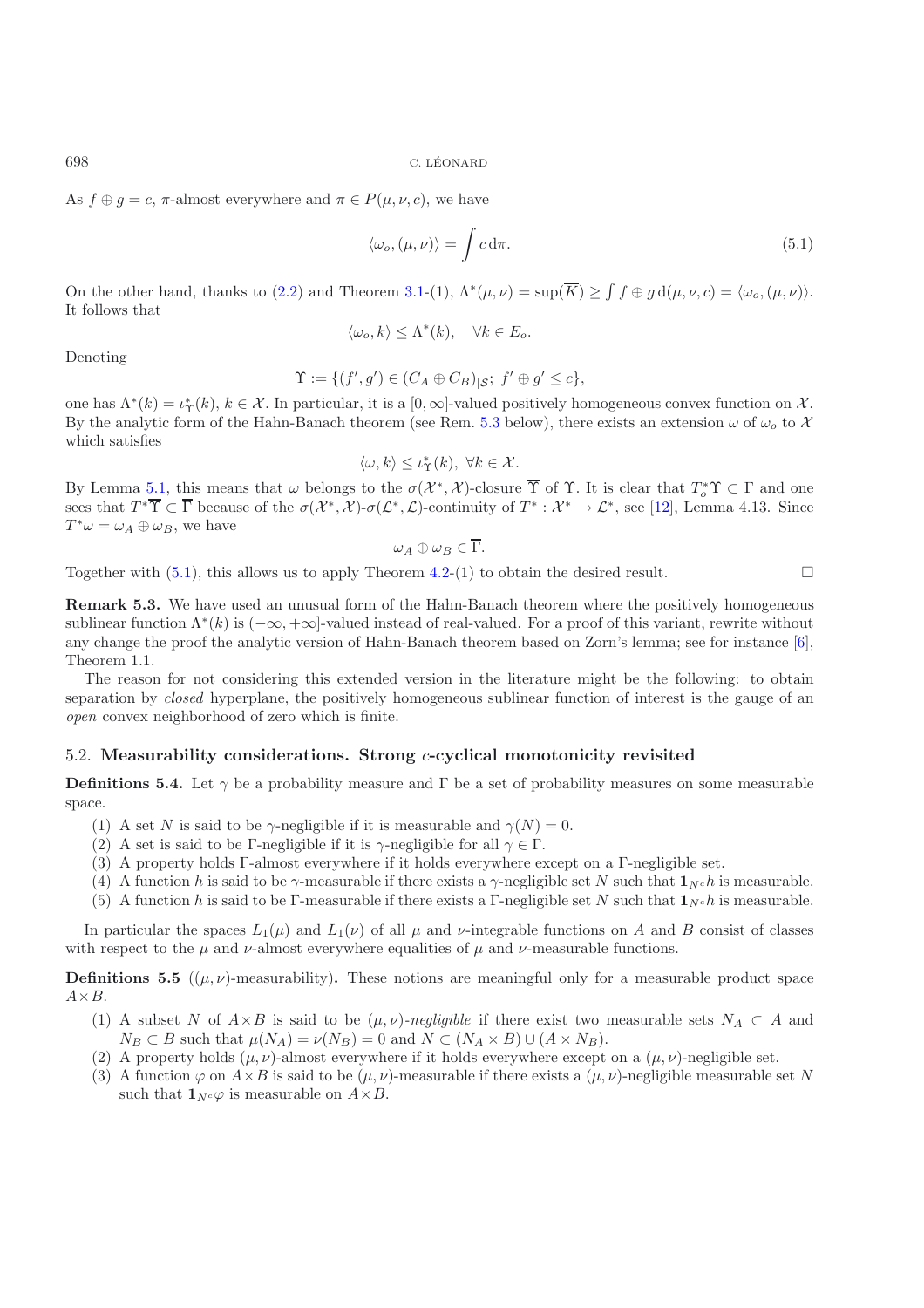As  $f \oplus g = c$ ,  $\pi$ -almost everywhere and  $\pi \in P(\mu, \nu, c)$ , we have

<span id="page-16-0"></span>
$$
\langle \omega_o, (\mu, \nu) \rangle = \int c \, \mathrm{d}\pi. \tag{5.1}
$$

On the other hand, thanks to [\(2.2\)](#page-6-0) and Theorem [3.1-](#page-1-2)(1),  $\Lambda^*(\mu,\nu) = \sup(\overline{K}) \ge \int f \oplus g \, d(\mu,\nu,c) = \langle \omega_o, (\mu,\nu) \rangle$ . It follows that

$$
\langle \omega_o, k \rangle \leq \Lambda^*(k), \quad \forall k \in E_o.
$$

Denoting

$$
\Upsilon := \{ (f', g') \in (C_A \oplus C_B)_{|S}; f' \oplus g' \le c \},\
$$

one has  $\Lambda^*(k) = \iota^*_\Upsilon(k)$ ,  $k \in \mathcal{X}$ . In particular, it is a  $[0, \infty]$ -valued positively homogeneous convex function on X. By the analytic form of the Hahn-Banach theorem (see Rem. [5.3](#page-1-3) below), there exists an extension  $\omega$  of  $\omega_o$  to X which satisfies

$$
\langle \omega, k \rangle \leq \iota_{\Upsilon}^*(k), \ \forall k \in \mathcal{X}.
$$

By Lemma [5.1,](#page-1-2) this means that  $\omega$  belongs to the  $\sigma(\mathcal{X}^*, \mathcal{X})$ -closure  $\overline{\Upsilon}$  of  $\Upsilon$ . It is clear that  $T^* \Upsilon \subset \Gamma$  and one<br>see that  $T^* \overline{\Upsilon} \subset \overline{\Gamma}$  because of the  $\sigma(\mathcal{Y}^*, \mathcal{Y}) \sigma(\mathcal{C}^*, \mathcal{C})$  contin sees that  $T^*\overline{\Upsilon} \subset \overline{\Gamma}$  because of the  $\sigma(\mathcal{X}^*, \mathcal{X})$ - $\sigma(\mathcal{L}^*, \mathcal{L})$ -continuity of  $T^* : \mathcal{X}^* \to \mathcal{L}^*$ , see [\[12](#page-22-0)], Lemma 4.13. Since  $T^*\omega = \omega_A \oplus \omega_B$ , we have

$$
\omega_A\oplus\omega_B\in\Gamma.
$$

Together with  $(5.1)$ , this allows us to apply Theorem [4.2-](#page-1-0)(1) to obtain the desired result.  $\Box$ 

**Remark 5.3.** We have used an unusual form of the Hahn-Banach theorem where the positively homogeneous sublinear function  $\Lambda^*(k)$  is  $(-\infty, +\infty]$ -valued instead of real-valued. For a proof of this variant, rewrite without any change the proof the analytic version of Hahn-Banach theorem based on Zorn's lemma; see for instance [\[6\]](#page-22-15), Theorem 1.1.

The reason for not considering this extended version in the literature might be the following: to obtain separation by *closed* hyperplane, the positively homogeneous sublinear function of interest is the gauge of an *open* convex neighborhood of zero which is finite.

## 5.2. **Measurability considerations. Strong** c**-cyclical monotonicity revisited**

**Definitions 5.4.** Let  $\gamma$  be a probability measure and Γ be a set of probability measures on some measurable space.

- (1) A set N is said to be  $\gamma$ -negligible if it is measurable and  $\gamma(N)=0$ .
- (2) A set is said to be Γ-negligible if it is  $\gamma$ -negligible for all  $\gamma \in \Gamma$ .
- (3) A property holds Γ-almost everywhere if it holds everywhere except on a Γ-negligible set.
- (4) A function h is said to be  $\gamma$ -measurable if there exists a  $\gamma$ -negligible set N such that  $\mathbf{1}_{N^c} h$  is measurable.
- (5) A function h is said to be Γ-measurable if there exists a Γ-negligible set N such that  $\mathbf{1}_{N^c} h$  is measurable.

In particular the spaces  $L_1(\mu)$  and  $L_1(\nu)$  of all  $\mu$  and  $\nu$ -integrable functions on A and B consist of classes with respect to the  $\mu$  and  $\nu$ -almost everywhere equalities of  $\mu$  and  $\nu$ -measurable functions.

**Definitions 5.5** ( $(\mu, \nu)$ -measurability). These notions are meaningful only for a measurable product space  $A \times B$ .

- (1) A subset N of  $A\times B$  is said to be  $(\mu, \nu)$ *-negligible* if there exist two measurable sets  $N_A \subset A$  and  $N_B \subset B$  such that  $\mu(N_A) = \nu(N_B) = 0$  and  $N \subset (N_A \times B) \cup (A \times N_B)$ .
- (2) A property holds  $(\mu, \nu)$ -almost everywhere if it holds everywhere except on a  $(\mu, \nu)$ -negligible set.
- (3) A function  $\varphi$  on  $A \times B$  is said to be  $(\mu, \nu)$ -measurable if there exists a  $(\mu, \nu)$ -negligible measurable set N such that  $\mathbf{1}_{N} \circ \varphi$  is measurable on  $A \times B$ .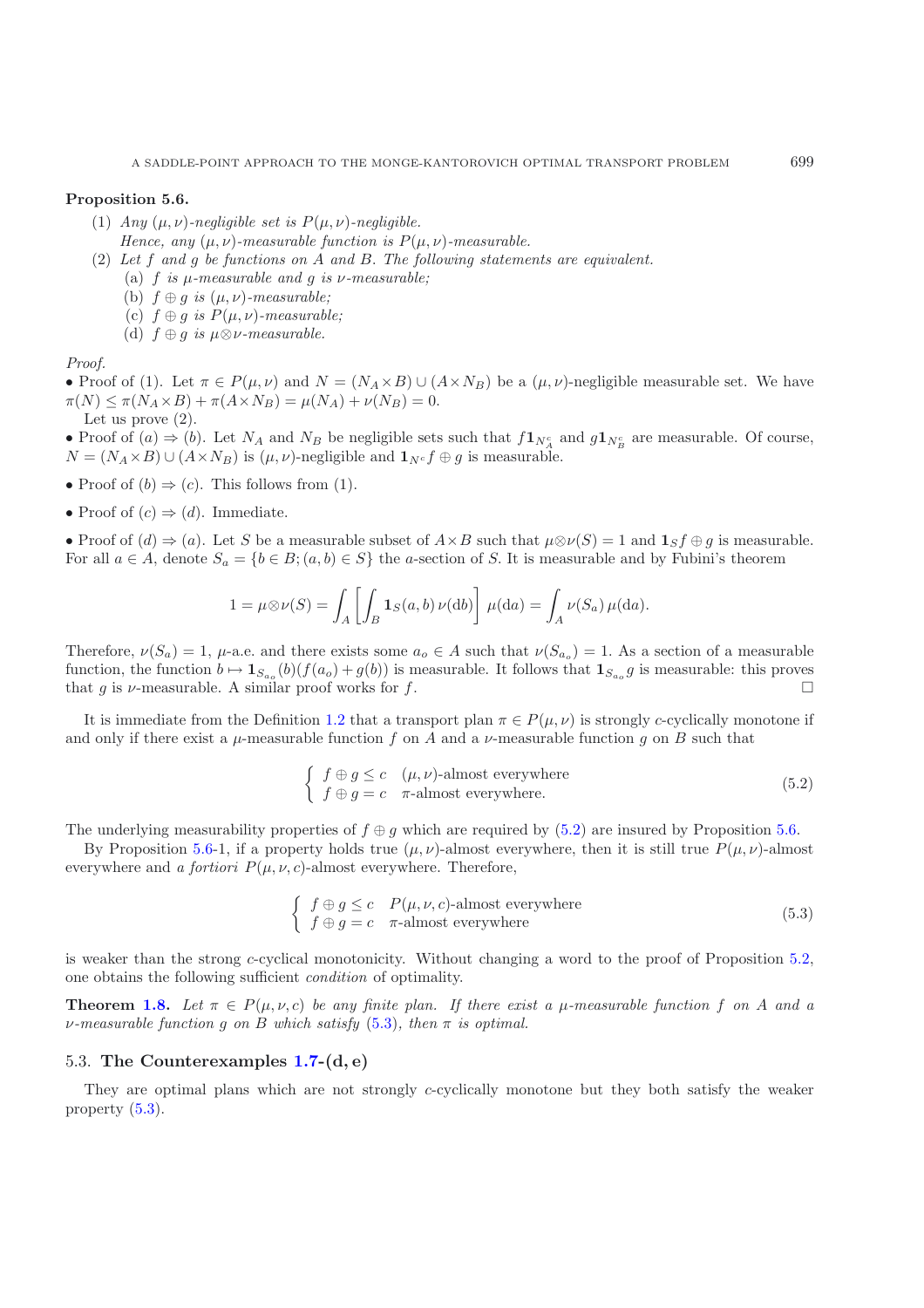#### **Proposition 5.6.**

- (1) *Any*  $(\mu, \nu)$ *-negligible set is*  $P(\mu, \nu)$ *-negligible. Hence, any*  $(\mu, \nu)$ *-measurable function is*  $P(\mu, \nu)$ *-measurable.*
- (2) *Let* f *and* g *be functions on* A *and* B. *The following statements are equivalent.*
	- (a) f *is* μ*-measurable and* g *is* ν*-measurable;*
	- (b)  $f \oplus g$  *is*  $(\mu, \nu)$ *-measurable;*
	- (c)  $f \oplus g$  *is*  $P(\mu, \nu)$ -measurable;
	- (d)  $f \oplus g$  *is*  $\mu \otimes \nu$ *-measurable.*

*Proof.*

• Proof of (1). Let  $\pi \in P(\mu, \nu)$  and  $N = (N_A \times B) \cup (A \times N_B)$  be a  $(\mu, \nu)$ -negligible measurable set. We have  $\pi(N) \leq \pi(N_A \times B) + \pi(A \times N_B) = \mu(N_A) + \nu(N_B) = 0.$ Let us prove (2).

• Proof of  $(a) \Rightarrow (b)$ . Let  $N_A$  and  $N_B$  be negligible sets such that  $f\mathbf{1}_{N_A^c}$  and  $g\mathbf{1}_{N_B^c}$  are measurable. Of course,  $N = (N_A \times B) \cup (A \times N_B)$  is  $(\mu, \nu)$ -negligible and  $\mathbf{1}_{N^c} f \oplus g$  is measurable.

- Proof of  $(b) \Rightarrow (c)$ . This follows from (1).
- Proof of  $(c) \Rightarrow (d)$ . Immediate.

• Proof of  $(d) \Rightarrow (a)$ . Let S be a measurable subset of  $A \times B$  such that  $\mu \otimes \nu(S) = 1$  and  $\mathbf{1}_S f \oplus g$  is measurable. For all  $a \in A$ , denote  $S_a = \{b \in B$ ;  $(a, b) \in S\}$  the a-section of S. It is measurable and by Fubini's theorem

$$
1 = \mu \otimes \nu(S) = \int_A \left[ \int_B \mathbf{1}_S(a, b) \, \nu(\mathrm{d}b) \right] \, \mu(\mathrm{d}a) = \int_A \nu(S_a) \, \mu(\mathrm{d}a).
$$

Therefore,  $\nu(S_a)=1$ ,  $\mu$ -a.e. and there exists some  $a_0 \in A$  such that  $\nu(S_{a_0})=1$ . As a section of a measurable function, the function  $b \mapsto \mathbf{1}_{S_{a_0}}(b)(f(a_0) + g(b))$  is measurable. It follows that  $\mathbf{1}_{S_{a_0}}g$  is measurable: this proves that g is  $\nu$ -measurable. A similar proof works for f.

It is immediate from the Definition [1.2](#page-1-0) that a transport plan  $\pi \in P(\mu, \nu)$  is strongly c-cyclically monotone if and only if there exist a  $\mu$ -measurable function f on A and a  $\nu$ -measurable function g on B such that

<span id="page-17-1"></span>
$$
\begin{cases}\nf \oplus g \le c \quad (\mu, \nu)\text{-almost everywhere} \\
f \oplus g = c \quad \pi\text{-almost everywhere.} \n\end{cases} \tag{5.2}
$$

The underlying measurability properties of  $f \oplus g$  which are required by [\(5.2\)](#page-17-1) are insured by Proposition [5.6.](#page-3-0)

By Proposition [5.6-](#page-3-0)1, if a property holds true  $(\mu, \nu)$ -almost everywhere, then it is still true  $P(\mu, \nu)$ -almost everywhere and *a fortiori*  $P(\mu, \nu, c)$ -almost everywhere. Therefore,

<span id="page-17-2"></span>
$$
\begin{cases}\nf \oplus g \le c \quad P(\mu, \nu, c)\text{-almost everywhere} \\
f \oplus g = c \quad \pi\text{-almost everywhere}\n\end{cases} (5.3)
$$

is weaker than the strong c-cyclical monotonicity. Without changing a word to the proof of Proposition [5.2,](#page-1-0) one obtains the following sufficient *condition* of optimality.

**Theorem [1.8.](#page-4-0)** Let  $\pi \in P(\mu, \nu, c)$  be any finite plan. If there exist a  $\mu$ -measurable function f on A and a ν*-measurable function* g *on* B *which satisfy* [\(5.3\)](#page-17-2)*, then* π *is optimal.*

## <span id="page-17-0"></span>5.3. **The Counterexamples [1.7-](#page-3-1)(d, e)**

They are optimal plans which are not strongly  $c$ -cyclically monotone but they both satisfy the weaker property [\(5.3\)](#page-17-2).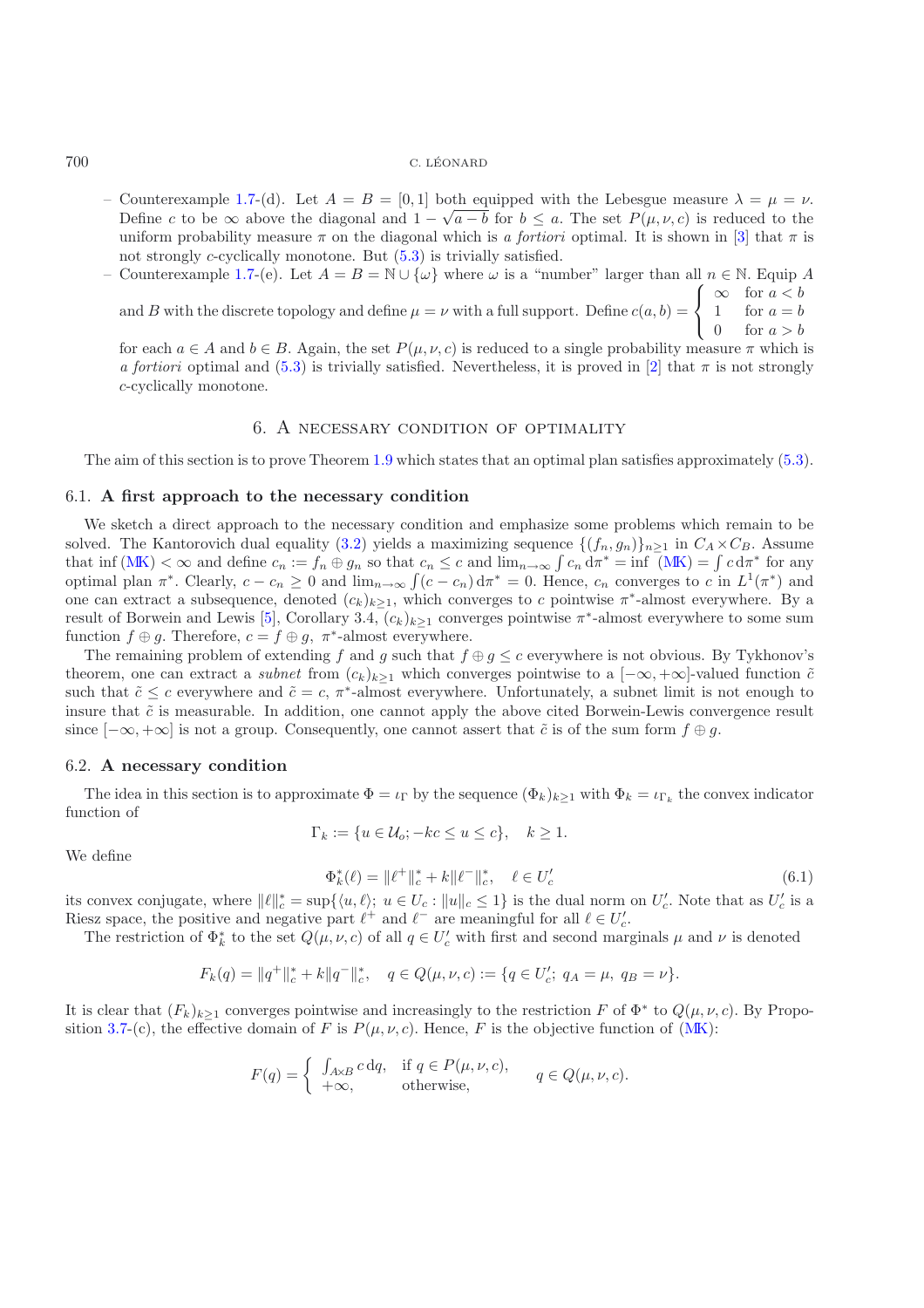- Counterexample [1.7-](#page-3-1)(d). Let  $A = B = [0, 1]$  both equipped with the Lebesgue measure  $\lambda = \mu = \nu$ . Define c to be  $\infty$  above the diagonal and  $1 - \sqrt{a - b}$  for  $b \le a$ . The set  $P(\mu, \nu, c)$  is reduced to the uniform probability measure  $\pi$  on the diagonal which is *a fortiori* optimal. It is shown in [\[3\]](#page-22-8) that  $\pi$  is not strongly *c*-cyclically monotone. But  $(5.3)$  is trivially satisfied.
- Counterexample [1.7-](#page-3-1)(e). Let  $A = B = \mathbb{N} \cup {\omega}$  where  $\omega$  is a "number" larger than all  $n \in \mathbb{N}$ . Equip A and B with the discrete topology and define  $\mu = \nu$  with a full support. Define  $c(a, b)$  =  $\sqrt{ }$  $\overline{ }$  $\infty$  for  $a < b$ 1 for  $a = b$

for each  $a \in A$  and  $b \in B$ . Again, the set  $P(\mu, \nu, c)$  is reduced to a single probability measure  $\pi$  which is *a fortiori* optimal and [\(5.3\)](#page-17-2) is trivially satisfied. Nevertheless, it is proved in [\[2\]](#page-22-7) that  $\pi$  is not strongly c-cyclically monotone.

## 6. A necessary condition of optimality

<span id="page-18-0"></span>The aim of this section is to prove Theorem [1.9](#page-4-1) which states that an optimal plan satisfies approximately [\(5.3\)](#page-17-2).

## 6.1. **A first approach to the necessary condition**

We sketch a direct approach to the necessary condition and emphasize some problems which remain to be solved. The Kantorovich dual equality [\(3.2\)](#page-8-0) yields a maximizing sequence  $\{(f_n, g_n)\}_{n>1}$  in  $C_A \times C_B$ . Assume that inf  $(MK) < \infty$  $(MK) < \infty$  and define  $c_n := f_n \oplus g_n$  so that  $c_n \leq c$  and  $\lim_{n\to\infty} \int c_n d\pi^* = \inf (MK) = \int c d\pi^*$  for any optimal plan  $\pi^*$ . Clearly,  $c - c_n \ge 0$  and  $\lim_{n \to \infty} \int (c - c_n) d\pi^* = 0$ . Hence,  $c_n$  converges to c in  $L^1(\pi^*)$  and one can extract a subsequence, denoted  $(c_k)_{k\geq 1}$ , which converges to c pointwise  $\pi^*$ -almost everywhere. By a result of Borwein and Lewis [\[5](#page-22-16)], Corollary 3.4,  $(c_k)_{k\geq 1}$  converges pointwise  $\pi^*$ -almost everywhere to some sum function  $f \oplus g$ . Therefore,  $c = f \oplus g$ ,  $\pi^*$ -almost everywhere.

The remaining problem of extending f and g such that  $f \oplus g \leq c$  everywhere is not obvious. By Tykhonov's theorem, one can extract a *subnet* from  $(c_k)_{k\geq 1}$  which converges pointwise to a  $[-\infty, +\infty]$ -valued function  $\tilde{c}$ such that  $\tilde{c} \leq c$  everywhere and  $\tilde{c} = c$ ,  $\pi^*$ -almost everywhere. Unfortunately, a subnet limit is not enough to insure that  $\tilde{c}$  is measurable. In addition, one cannot apply the above cited Borwein-Lewis convergence result since  $[-\infty, +\infty]$  is not a group. Consequently, one cannot assert that  $\tilde{c}$  is of the sum form  $f \oplus g$ .

#### 6.2. **A necessary condition**

The idea in this section is to approximate  $\Phi = \iota_{\Gamma}$  by the sequence  $(\Phi_k)_{k>1}$  with  $\Phi_k = \iota_{\Gamma_k}$  the convex indicator function of

$$
\Gamma_k := \{ u \in \mathcal{U}_o; -kc \le u \le c \}, \quad k \ge 1.
$$

We define

$$
\Phi_k^*(\ell) = \|\ell^+\|_{c}^* + k\|\ell^-\|_{c}^*, \quad \ell \in U_c'
$$
\n(6.1)

 $\mathbf{I}$ 

0 for  $a > b$ 

its convex conjugate, where  $||\ell||_c^* = \sup\{(u,\ell); u \in U_c : ||u||_c \le 1\}$  is the dual norm on  $U_c'$ . Note that as  $U_c'$  is a<br>Biosz space, the positive and positive part  $\ell^+$  and  $\ell^-$  are meaningful for all  $\ell \in U'$ . Riesz space, the positive and negative part  $\ell^+$  and  $\ell^-$  are meaningful for all  $\ell \in U'_c$ .<br>The restriction of  $\Phi^*$  to the set  $O(\mu, \mu, c)$  of all  $a \in U'$  with first and second margin

The restriction of  $\Phi_k^*$  to the set  $Q(\mu, \nu, c)$  of all  $q \in U_c'$  with first and second marginals  $\mu$  and  $\nu$  is denoted

<span id="page-18-1"></span>
$$
F_k(q) = ||q^+||_c^* + k||q^-||_c^*, \quad q \in Q(\mu, \nu, c) := \{q \in U'_c; \ q_A = \mu, \ q_B = \nu\}.
$$

It is clear that  $(F_k)_{k\geq 1}$  converges pointwise and increasingly to the restriction F of  $\Phi^*$  to  $Q(\mu, \nu, c)$ . By Propo-sition [3.7-](#page-3-1)(c), the effective domain of F is  $P(\mu, \nu, c)$ . Hence, F is the objective function of [\(MK\)](#page-0-0):

$$
F(q) = \begin{cases} \int_{A \times B} c \, dq, & \text{if } q \in P(\mu, \nu, c), \\ +\infty, & \text{otherwise}, \end{cases} \qquad q \in Q(\mu, \nu, c).
$$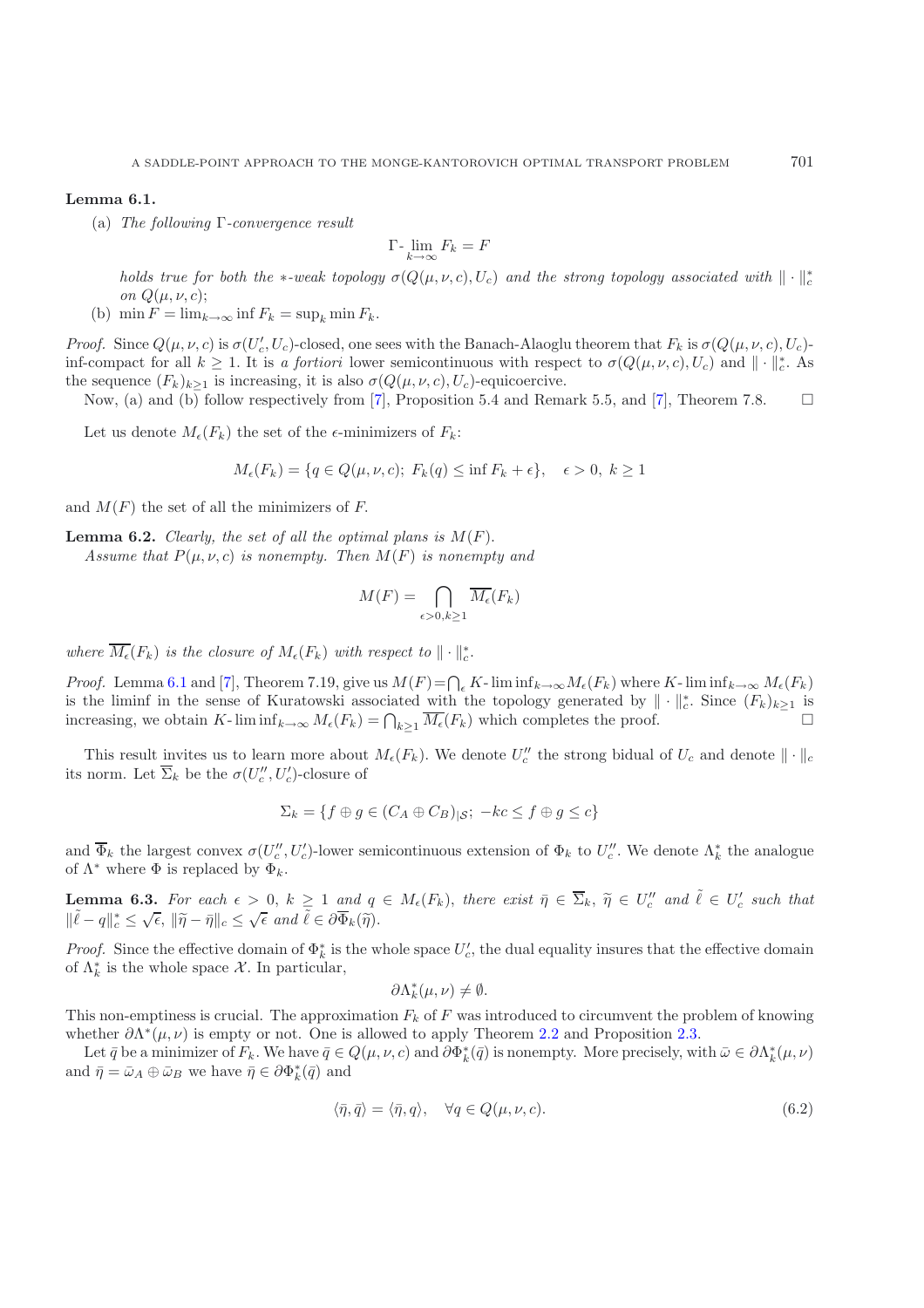#### **Lemma 6.1.**

(a) *The following* Γ*-convergence result*

$$
\Gamma\text{-}\lim_{k\to\infty}F_k = F
$$

*holds true for both the* ∗*-weak topology*  $\sigma(Q(\mu, \nu, c), U_c)$  *and the strong topology associated with*  $\|\cdot\|_c^*$ *on*  $Q(\mu, \nu, c)$ ;

(b) min  $F = \lim_{k \to \infty} \inf F_k = \sup_k \min F_k$ .

*Proof.* Since  $Q(\mu, \nu, c)$  is  $\sigma(U_c', U_c)$ -closed, one sees with the Banach-Alaoglu theorem that  $F_k$  is  $\sigma(Q(\mu, \nu, c), U_c)$ -<br>inf compact for all  $k > 1$ . It is g fortioni lower somicontinuous with respect to  $\sigma(Q(\mu, \nu, c), U_c)$  a inf-compact for all  $k \ge 1$ . It is *a fortiori* lower semicontinuous with respect to  $\sigma(Q(\mu,\nu,c),U_c)$  and  $\|\cdot\|_{c}^{*}$ . As the sequence  $(F_k)_{k\geq 1}$  is increasing, it is also  $\sigma(Q(\mu, \nu, c), U_c)$ -equicoercive.

Now, (a) and (b) follow respectively from [\[7](#page-22-17)], Proposition 5.4 and Remark 5.5, and [7], Theorem 7.8.  $\Box$ 

Let us denote  $M_{\epsilon}(F_k)$  the set of the  $\epsilon$ -minimizers of  $F_k$ :

$$
M_{\epsilon}(F_k) = \{ q \in Q(\mu, \nu, c); F_k(q) \le \inf F_k + \epsilon \}, \quad \epsilon > 0, k \ge 1
$$

and  $M(F)$  the set of all the minimizers of F.

**Lemma 6.2.** *Clearly, the set of all the optimal plans is*  $M(F)$ *.* 

*Assume that*  $P(\mu, \nu, c)$  *is nonempty. Then*  $M(F)$  *is nonempty and* 

$$
M(F) = \bigcap_{\epsilon > 0, k \ge 1} \overline{M_{\epsilon}}(F_k)
$$

where  $\overline{M_{\epsilon}}(F_k)$  is the closure of  $M_{\epsilon}(F_k)$  with respect to  $\|\cdot\|_{c}^{*}$ .

*Proof.* Lemma [6.1](#page-1-2) and [\[7\]](#page-22-17), Theorem 7.19, give us  $M(F) = \bigcap_{\epsilon} K$ -  $\liminf_{k\to\infty} M_{\epsilon}(F_k)$  where K- $\liminf_{k\to\infty} M_{\epsilon}(F_k)$  is the liming in the sense of Kuratowski associated with the topology generated by  $\|\cdot\|^*$ . Since  $(F_k)$ is the liminf in the sense of Kuratowski associated with the topology generated by  $\|\cdot\|_{c}^{*}$ . Since  $(F_{k})_{k\geq 1}$  is<br>increasing we obtain K liminf  $M(F) = \bigcap_{k=1}^{k} (F_{k})$  which semplets the proof increasing, we obtain K- lim  $inf_{k\to\infty} M_{\epsilon}(F_k) = \bigcap_{k\geq 1} \overline{M_{\epsilon}}(F_k)$  which completes the proof.

This result invites us to learn more about  $M_{\epsilon}(F_k)$ . We denote  $U''_c$  the strong bidual of  $U_c$  and denote  $\|\cdot\|_c$ its norm. Let  $\overline{\Sigma}_k$  be the  $\sigma(U''_c, U'_c)$ -closure of

$$
\Sigma_k = \{ f \oplus g \in (C_A \oplus C_B)|_{\mathcal{S}}; \ -kc \le f \oplus g \le c \}
$$

and  $\overline{\Phi}_k$  the largest convex  $\sigma(U_c'', U_c')$ -lower semicontinuous extension of  $\Phi_k$  to  $U_c''$ . We denote  $\Lambda_k^*$  the analogue of  $\Lambda^*$  where  $\Phi$  is replaced by  $\Phi_k$ . of  $\Lambda^*$  where  $\Phi$  is replaced by  $\Phi_k$ .

**Lemma 6.3.** For each  $\epsilon > 0$ ,  $k \ge 1$  and  $q \in M_{\epsilon}(F_k)$ , there exist  $\bar{\eta} \in \overline{\Sigma}_k$ ,  $\tilde{\eta} \in U''_c$  and  $\tilde{\ell} \in U'_c$  such that **Example 3.6.** For each  $\epsilon > 0$ ,  $n \ge 1$  and  $\tilde{q}$ <br> $\|\tilde{\ell} - q\|_{c}^{*} \le \sqrt{\epsilon}$ ,  $\|\tilde{\eta} - \bar{\eta}\|_{c} \le \sqrt{\epsilon}$  and  $\tilde{\ell} \in \partial \overline{\Phi}_{k}(\tilde{\eta})$ .

*Proof.* Since the effective domain of  $\Phi_k^*$  is the whole space  $U_c'$ , the dual equality insures that the effective domain of  $\Lambda^*$  is the whole space  $\mathcal{X}$ . In particular of  $\Lambda_k^*$  is the whole space X. In particular,

$$
\partial \Lambda_k^*(\mu,\nu) \neq \emptyset.
$$

This non-emptiness is crucial. The approximation  $F_k$  of F was introduced to circumvent the problem of knowing whether  $\partial \Lambda^*(\mu, \nu)$  is empty or not. One is allowed to apply Theorem [2.2](#page-1-0) and Proposition [2.3.](#page-1-3)

Let  $\bar{q}$  be a minimizer of  $F_k$ . We have  $\bar{q} \in Q(\mu, \nu, c)$  and  $\partial \Phi_k^*(\bar{q})$  is nonempty. More precisely, with  $\bar{\omega} \in \partial \Lambda_k^*(\mu, \nu)$ <br>d  $\bar{p} = \bar{\omega} \cdot \oplus \bar{\omega}$  we have  $\bar{p} \in \partial \Phi^*(\bar{q})$  and and  $\bar{\eta} = \bar{\omega}_A \oplus \bar{\omega}_B$  we have  $\bar{\eta} \in \partial \Phi_k^*(\bar{q})$  and

<span id="page-19-0"></span>
$$
\langle \bar{\eta}, \bar{q} \rangle = \langle \bar{\eta}, q \rangle, \quad \forall q \in Q(\mu, \nu, c). \tag{6.2}
$$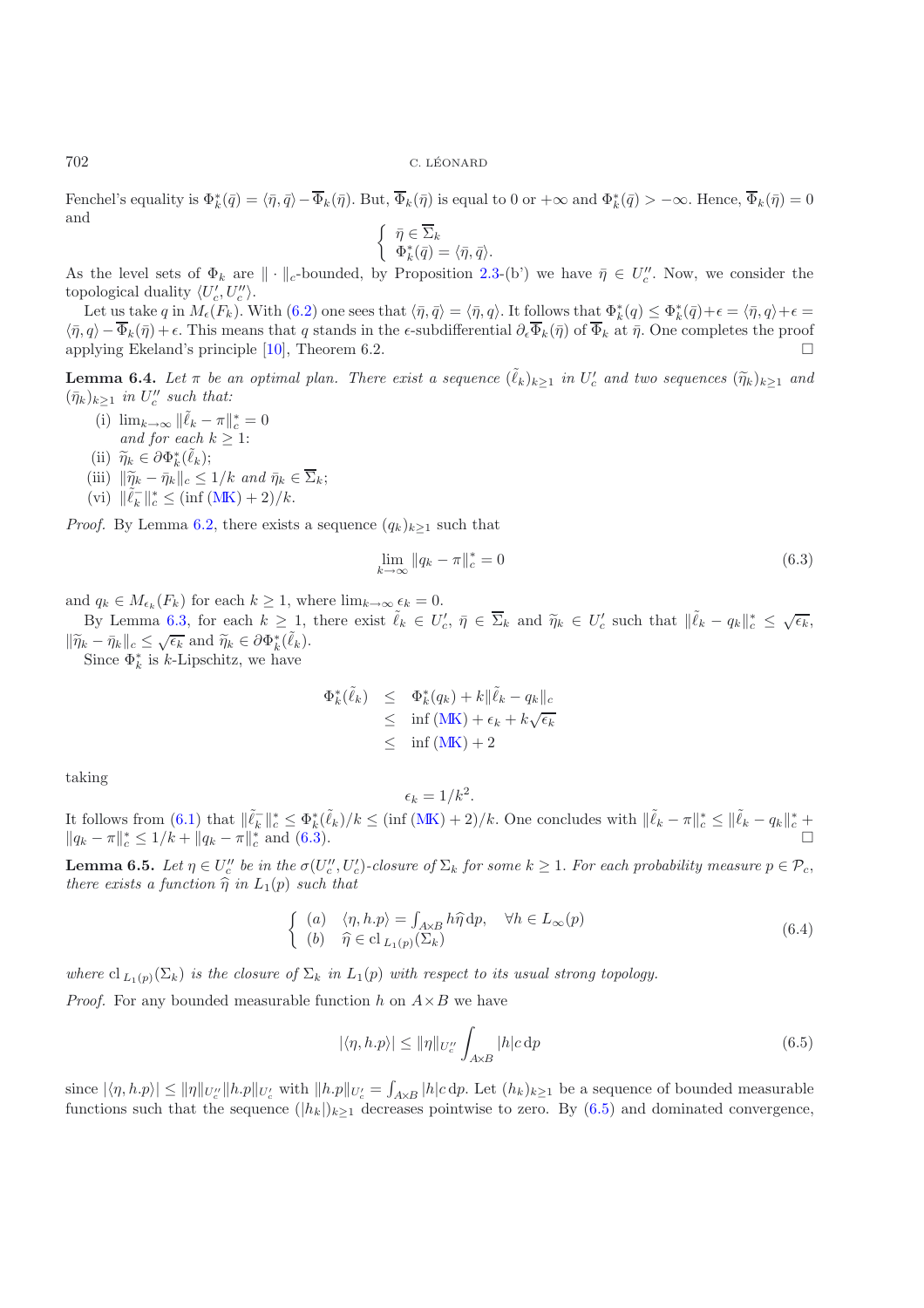Fenchel's equality is  $\Phi_k^*(\bar{q}) = \langle \bar{\eta}, \bar{q} \rangle - \overline{\Phi}_k(\bar{\eta})$ . But,  $\overline{\Phi}_k(\bar{\eta})$  is equal to 0 or  $+\infty$  and  $\Phi_k^*(\bar{q}) > -\infty$ . Hence,  $\overline{\Phi}_k(\bar{\eta}) = 0$ and

$$
\begin{cases} \bar{\eta} \in \overline{\Sigma}_k \\ \Phi_k^*(\bar{q}) = \langle \bar{\eta}, \bar{q} \rangle. \end{cases}
$$

As the level sets of  $\Phi_k$  are  $\|\cdot\|_c$ -bounded, by Proposition [2.3-](#page-1-3)(b') we have  $\bar{\eta} \in U''_c$ . Now, we consider the topological duality  $\langle U' | U'' \rangle$ topological duality  $\langle U'_c, U''_c \rangle$ .<br>Let us take g in M  $(F_1)$ , W

Let us take q in  $M_{\epsilon}(F_k)$ . With  $(6.2)$  one sees that  $\langle \bar{\eta}, \bar{q} \rangle = \langle \bar{\eta}, q \rangle$ . It follows that  $\Phi_k^*(q) \leq \Phi_k^*(\bar{q}) + \epsilon = \langle \bar{\eta}, q \rangle + \epsilon = \epsilon$  $\langle \bar{\eta}, q \rangle - \overline{\Phi}_k(\bar{\eta}) + \epsilon$ . This means that q stands in the  $\epsilon$ -subdifferential  $\partial_{\epsilon} \overline{\Phi}_k(\bar{\eta})$  of  $\overline{\Phi}_k$  at  $\bar{\eta}$ . One completes the proof applying Ekeland's principle [\[10\]](#page-22-18), Theorem 6.2. -

**Lemma 6.4.** *Let*  $\pi$  *be an optimal plan. There exist a sequence*  $(\tilde{\ell}_k)_{k\geq 1}$  *in*  $U'_c$  *and two sequences*  $(\widetilde{\eta}_k)_{k\geq 1}$  *and*  $(\overline{\eta}_k)_{k\geq 1}$  *and*  $(\bar{\eta}_k)_{k\geq 1}$  *in*  $U''_c$  *such that:* 

- (i)  $\lim_{k\to\infty} \|\tilde{\ell}_k \pi\|_{c}^* = 0$ <br>and for each  $k > 1$ . *and for each*  $k \geq 1$ :
- (ii)  $\widetilde{\eta}_k \in \partial \Phi_k^*(\tilde{\ell}_k);$ <br>(iii)  $\|\widetilde{\eta}_k \bar{\eta}_k\|$
- 
- (iii)  $\|\tilde{\eta}_k \bar{\eta}_k\|_c \le 1/k$  *and*  $\bar{\eta}_k \in \overline{\Sigma}_k$ ;<br>(vi)  $\|\tilde{\ell}_k^-\|_c^* \le (\inf(MK) + 2)/k$  $\|\tilde{\ell}_k^-\|_c^* \le (\inf(MK) + 2)/k$  $\|\tilde{\ell}_k^-\|_c^* \le (\inf(MK) + 2)/k$ .

*Proof.* By Lemma [6.2,](#page-1-0) there exists a sequence  $(q_k)_{k\geq 1}$  such that

<span id="page-20-0"></span>
$$
\lim_{k \to \infty} \|q_k - \pi\|_c^* = 0 \tag{6.3}
$$

and  $q_k \in M_{\epsilon_k}(F_k)$  for each  $k \geq 1$ , where  $\lim_{k \to \infty} \epsilon_k = 0$ .

By Lemma [6.3,](#page-1-3) for each  $k \geq 1$ , there exist  $\tilde{\ell}_k \in U_c'$ ,  $\bar{\eta} \in \overline{\Sigma}_k$  and  $\tilde{\eta}_k \in U_c'$  such that  $\|\tilde{\ell}_k - q_k\|_{c}^* \leq \sqrt{\epsilon_k}$ ,  $\|\widetilde{\eta}_k - \bar{\eta}_k\|_c \leq \sqrt{\epsilon_k}$  and  $\widetilde{\eta}_k \in \partial \Phi_k^*(\tilde{\ell}_k)$ .<br>Since  $\Phi^*$  is k-Linschitz, we have

Since  $\Phi_k^*$  is k-Lipschitz, we have

$$
\Phi_k^*(\tilde{\ell}_k) \leq \Phi_k^*(q_k) + k \|\tilde{\ell}_k - q_k\|_c
$$
  
\n
$$
\leq \inf (\text{MK}) + \epsilon_k + k \sqrt{\epsilon_k}
$$
  
\n
$$
\leq \inf (\text{MK}) + 2
$$

taking

$$
\epsilon_k = 1/k^2.
$$

It follows from [\(6.1\)](#page-18-1) that  $\|\tilde{\ell}_k\|_{c}^* \leq \Phi_k^*(\tilde{\ell}_k)/k \leq (\inf(MK) + 2)/k$  $\|\tilde{\ell}_k\|_{c}^* \leq \Phi_k^*(\tilde{\ell}_k)/k \leq (\inf(MK) + 2)/k$  $\|\tilde{\ell}_k\|_{c}^* \leq \Phi_k^*(\tilde{\ell}_k)/k \leq (\inf(MK) + 2)/k$ . One concludes with  $\|\tilde{\ell}_k - \pi\|_{c}^* \leq \|\tilde{\ell}_k - q_k\|_{c}^* +$ <br> $\|a_k - \pi\|_{c}^* \leq 1/k + \|a_k - \pi\|_{c}^*$  and (6.3)  $||q_k - \pi||_c^* \leq 1/k + ||q_k - \pi||_c^*$  and [\(6.3\)](#page-20-0).  $□$ 

**Lemma 6.5.** *Let*  $\eta \in U''_c$  *be in the*  $\sigma(U''_c, U'_c)$ -closure of  $\Sigma_k$  *for some*  $k \geq 1$ . *For each probability measure*  $p \in \mathcal{P}_c$ , *there exists a function*  $\hat{\mathfrak{D}}$  *in*  $L_c(n)$  *such that there exists a function*  $\hat{\eta}$  *in*  $L_1(p)$  *such that* 

<span id="page-20-2"></span>
$$
\begin{cases}\n(a) & \langle \eta, h. p \rangle = \int_{A \times B} h \hat{\eta} \, \mathrm{d}p, \quad \forall h \in L_{\infty}(p) \\
(b) & \hat{\eta} \in \mathrm{cl}_{L_1(p)}(\Sigma_k)\n\end{cases} \tag{6.4}
$$

*where*  $\text{cl}_{L_1(p)}(\Sigma_k)$  *is the closure of*  $\Sigma_k$  *in*  $L_1(p)$  *with respect to its usual strong topology.* 

*Proof.* For any bounded measurable function h on  $A \times B$  we have

<span id="page-20-1"></span>
$$
|\langle \eta, h.p \rangle| \le ||\eta||_{U_c''} \int_{A \times B} |h| c \, \mathrm{d}p \tag{6.5}
$$

 $|\langle \eta, h, p \rangle| \le ||\eta||_{U_c'} ||h.p||_{U_c'}$  with  $||h.p||_{U_c'} = \int_{A \times B} |h| c \, dp$ . Let  $(h_k)_{k \ge 1}$  be a sequence of bounded measurable functions such that the sequence  $(h_k)_{k \ge 1}$  decreases pointwise to zero. By  $(6.5)$  and dominated con functions such that the sequence  $(|h_k|)_{k\geq 1}$  decreases pointwise to zero. By [\(6.5\)](#page-20-1) and dominated convergence,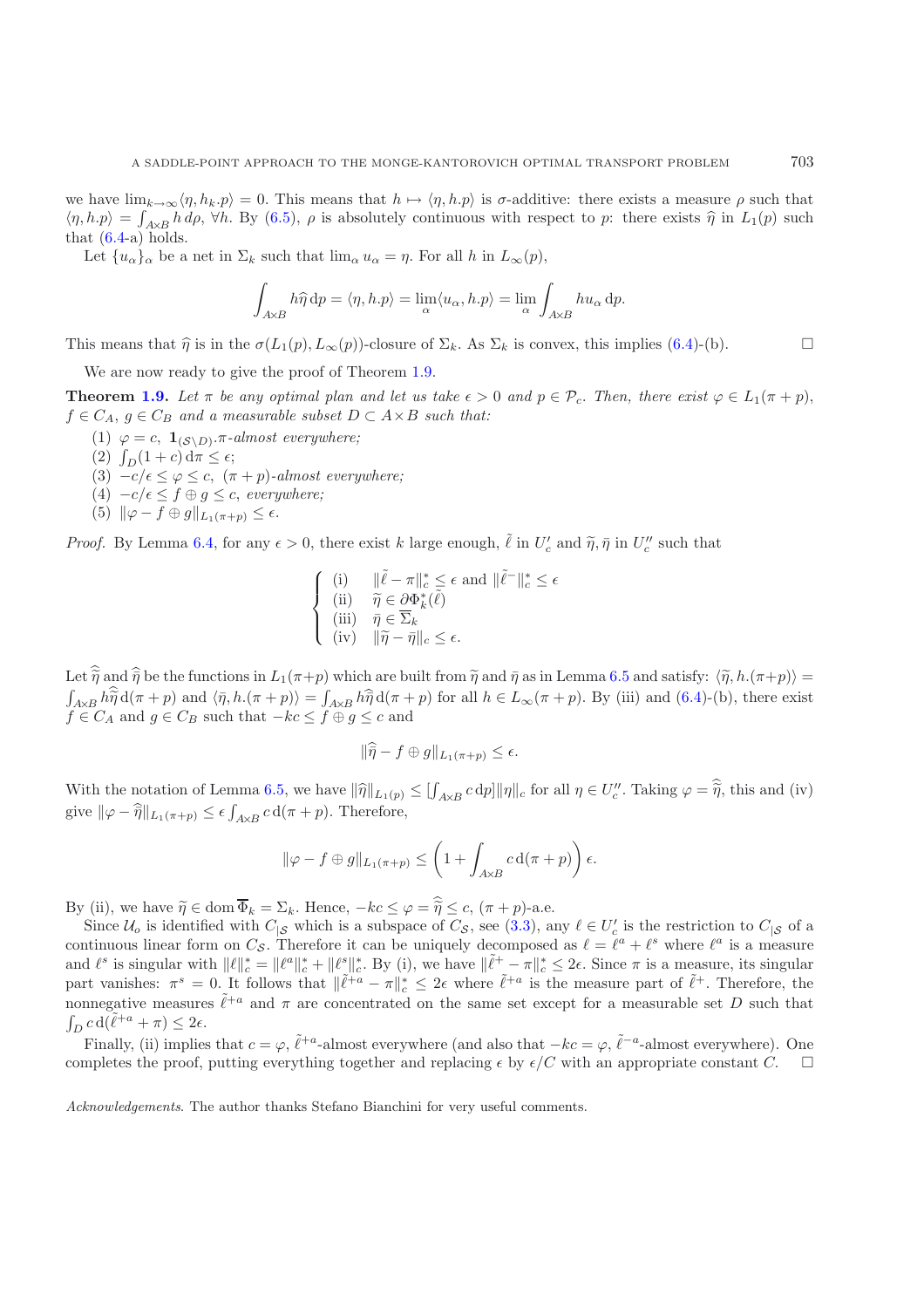we have  $\lim_{k\to\infty} \langle \eta, h_k. \rho \rangle = 0$ . This means that  $h \mapsto \langle \eta, h. \rho \rangle$  is  $\sigma$ -additive: there exists a measure  $\rho$  such that  $\langle \eta, h.p \rangle = \int_{A\times B} h d\rho$ ,  $\forall h$ . By [\(6.5\)](#page-20-1),  $\rho$  is absolutely continuous with respect to p: there exists  $\hat{\eta}$  in  $L_1(p)$  such that (6.4.2) holds. that  $(6.4-a)$  $(6.4-a)$  holds.

Let  ${u_{\alpha}}_{\alpha}$  be a net in  $\Sigma_k$  such that  $\lim_{\alpha} u_{\alpha} = \eta$ . For all h in  $L_{\infty}(p)$ ,

$$
\int_{A\times B} h\hat{\eta} \, \mathrm{d}p = \langle \eta, h.p \rangle = \lim_{\alpha} \langle u_{\alpha}, h.p \rangle = \lim_{\alpha} \int_{A\times B} h u_{\alpha} \, \mathrm{d}p.
$$

This means that  $\hat{\eta}$  is in the  $\sigma(L_1(p), L_\infty(p))$ -closure of  $\Sigma_k$ . As  $\Sigma_k$  is convex, this implies [\(6.4\)](#page-20-2)-(b).  $\Box$ 

We are now ready to give the proof of Theorem [1.9.](#page-4-1)

**Theorem [1.9.](#page-4-1)** *Let*  $\pi$  *be any optimal plan and let us take*  $\epsilon > 0$  *and*  $p \in \mathcal{P}_c$ . *Then, there exist*  $\varphi \in L_1(\pi + p)$ ,  $f \in C_A$ ,  $g \in C_B$  *and a measurable subset*  $D \subset A \times B$  *such that:* 

- (1)  $\varphi = c$ ,  $\mathbf{1}_{(\mathcal{S}\backslash D)}$ .*π*-almost everywhere;
- (2)  $\int_D (1+c) d\pi \leq \epsilon;$ <br>(3)  $-c/\epsilon \leq \mu \leq c$
- (3)  $-c/\epsilon \leq \varphi \leq c$ ,  $(\pi + p)$ -almost everywhere;
- (4)  $-c/\epsilon \leq f \oplus g \leq c$ , *everywhere*;
- (5)  $\|\varphi f \oplus g\|_{L_1(\pi+p)} \leq \epsilon.$

*Proof.* By Lemma [6.4,](#page-2-4) for any  $\epsilon > 0$ , there exist k large enough,  $\tilde{\ell}$  in  $U_c'$  and  $\tilde{\eta}, \bar{\eta}$  in  $U_c''$  such that

$$
\begin{cases}\n(i) & \|\tilde{\ell} - \pi\|_{c}^{*} \leq \epsilon \text{ and } \|\tilde{\ell} - \tilde{\ell}\|_{c}^{*} \leq \epsilon \\
(ii) & \tilde{\eta} \in \partial \Phi_{k}^{*}(\tilde{\ell}) \\
(iii) & \bar{\eta} \in \overline{\Sigma}_{k} \\
(iv) & \|\tilde{\eta} - \bar{\eta}\|_{c} \leq \epsilon.\n\end{cases}
$$

Let  $\tilde{\eta}$  and  $\tilde{\eta}$  be the functions in  $L_1(\pi+p)$  which are built from  $\tilde{\eta}$  and  $\bar{\eta}$  as in Lemma [6.5](#page-2-3) and satisfy:  $\langle \tilde{\eta}, h.(\pi+p) \rangle =$ <br>  $\int_{\mathbb{R}}$  =  $h\tilde{\eta}d(\pi+p)$  and  $\langle \bar{n}, h.(\pi+p) \rangle = \int_{\mathbb{R}}$  =  $h\tilde{\eta}d(\pi$  $\widehat{A}_{A\times B} h \widehat{\widehat{\eta}} d(\pi + p)$  and  $\langle \bar{\eta}, h.(\pi + p) \rangle = \int_{A\times B} h \widehat{\eta} d(\pi + p)$  for all  $h \in L_{\infty}(\pi + p)$ . By (iii) and [\(6.4\)](#page-20-2)-(b), there exist  $\widehat{A} \in C_1$  and  $a \in C_2$  such that  $-kc \leq f \oplus a \leq c$  and  $f \in C_A$  and  $g \in C_B$  such that  $-kc \le f \oplus g \le c$  and

$$
\|\widehat{\overline{\eta}} - f \oplus g\|_{L_1(\pi+p)} \leq \epsilon.
$$

With the notation of Lemma [6.5,](#page-2-3) we have  $\|\hat{\eta}\|_{L_1(p)} \leq [\int_{A \times B} c \, dp] \|\eta\|_c$  for all  $\eta \in U''_c$ . Taking  $\varphi = \hat{\tilde{\eta}}$ , this and (iv) give  $\|\varphi - \hat{\overline{\eta}}\|_{L_1(\pi+p)} \leq \epsilon \int_{A \times B} c \,d(\pi+p)$ . Therefore,

$$
\|\varphi - f \oplus g\|_{L_1(\pi+p)} \le \left(1 + \int_{A \times B} c \,d(\pi+p)\right)\epsilon.
$$

By (ii), we have  $\widetilde{\eta} \in \text{dom } \overline{\Phi}_k = \Sigma_k$ . Hence,  $-kc \leq \varphi = \widehat{\widetilde{\eta}} \leq c$ ,  $(\pi + p)$ -a.e.

Since  $\mathcal{U}_o$  is identified with  $C_{|S}$  which is a subspace of  $C_S$ , see [\(3.3\)](#page-9-0), any  $\ell \in U_c'$  is the restriction to  $C_{|S}$  of a<br>tinuous linear form on  $C_S$ . Therefore it can be uniquely decomposed as  $\ell - \ell^a + \ell^s$  wh continuous linear form on  $C_{\mathcal{S}}$ . Therefore it can be uniquely decomposed as  $\ell = \ell^a + \ell^s$  where  $\ell^a$  is a measure and  $\ell^s$  is singular with  $\|\ell\|_c^* = \|\ell^a\|_c^* + \|\ell^s\|_c^*.$  By (i), we have  $\|\tilde{\ell}^+ - \pi\|_c^* \leq 2\epsilon$ . Since  $\pi$  is a measure, its singular part vanishes:  $\pi^s = 0$ . It follows that  $\|\tilde{\ell}^{+a} - \pi\|_c^* \leq 2\epsilon$  wh nonnegative measures  $\tilde{\ell}^{+a}$  and  $\pi$  are concentrated on the same set except for a measurable set D such that  $\int_D c \, d\left(\tilde{\ell}^{+a} + \pi\right) \leq 2\epsilon.$  Finally (ii) implies

Finally, (ii) implies that  $c = \varphi$ ,  $\tilde{\ell}^{+a}$ -almost everywhere (and also that  $-kc = \varphi$ ,  $\tilde{\ell}^{-a}$ -almost everywhere). One completes the proof, putting everything together and replacing  $\epsilon$  by  $\epsilon/C$  with an appropriate constant C.

*Acknowledgements*. The author thanks Stefano Bianchini for very useful comments.